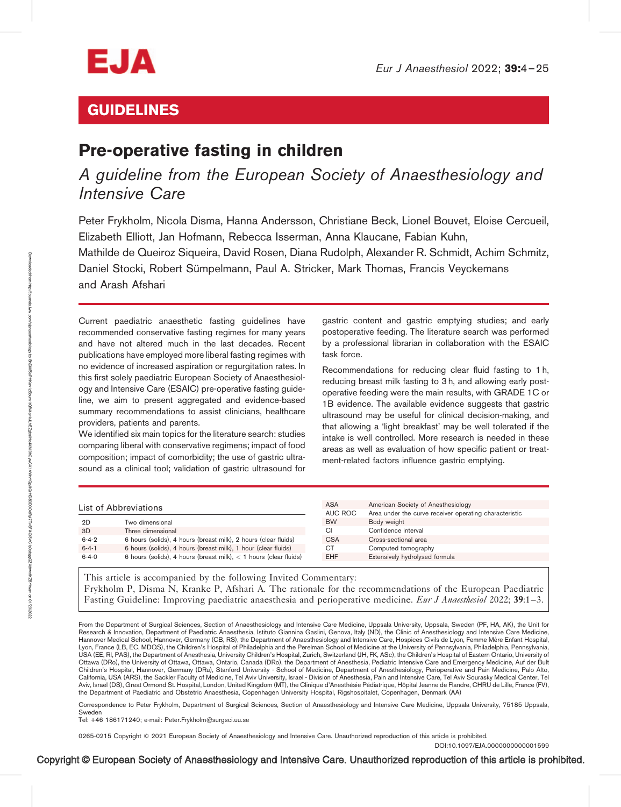

# GUIDELINES

# Pre-operative fasting in children

# A guideline from the European Society of Anaesthesiology and Intensive Care

Peter Frykholm, Nicola Disma, Hanna Andersson, Christiane Beck, Lionel Bouvet, Eloise Cercueil, Elizabeth Elliott, Jan Hofmann, Rebecca Isserman, Anna Klaucane, Fabian Kuhn, Mathilde de Queiroz Siqueira, David Rosen, Diana Rudolph, Alexander R. Schmidt, Achim Schmitz, Daniel Stocki, Robert Sümpelmann, Paul A. Stricker, Mark Thomas, Francis Veyckemans and Arash Afshari

Current paediatric anaesthetic fasting guidelines have recommended conservative fasting regimes for many years and have not altered much in the last decades. Recent publications have employed more liberal fasting regimes with no evidence of increased aspiration or regurgitation rates. In this first solely paediatric European Society of Anaesthesiology and Intensive Care (ESAIC) pre-operative fasting guideline, we aim to present aggregated and evidence-based summary recommendations to assist clinicians, healthcare providers, patients and parents.

We identified six main topics for the literature search: studies comparing liberal with conservative regimens; impact of food composition; impact of comorbidity; the use of gastric ultrasound as a clinical tool; validation of gastric ultrasound for gastric content and gastric emptying studies; and early postoperative feeding. The literature search was performed by a professional librarian in collaboration with the ESAIC task force.

Recommendations for reducing clear fluid fasting to 1 h, reducing breast milk fasting to 3 h, and allowing early postoperative feeding were the main results, with GRADE 1C or 1B evidence. The available evidence suggests that gastric ultrasound may be useful for clinical decision-making, and that allowing a 'light breakfast' may be well tolerated if the intake is well controlled. More research is needed in these areas as well as evaluation of how specific patient or treatment-related factors influence gastric emptying.

| List of Abbreviations                                                              |                                                                 | <b>ASA</b> | American Society of Anesthesiology                     |
|------------------------------------------------------------------------------------|-----------------------------------------------------------------|------------|--------------------------------------------------------|
|                                                                                    |                                                                 | AUC ROC    | Area under the curve receiver operating characteristic |
| 2D                                                                                 | Two dimensional                                                 | <b>BW</b>  | Body weight                                            |
| 3D                                                                                 | Three dimensional                                               | CI.        | Confidence interval                                    |
| $6 - 4 - 2$                                                                        | 6 hours (solids), 4 hours (breast milk), 2 hours (clear fluids) | <b>CSA</b> | Cross-sectional area                                   |
| $6 - 4 - 1$                                                                        | 6 hours (solids), 4 hours (breast milk), 1 hour (clear fluids)  | <b>CT</b>  | Computed tomography                                    |
| 6 hours (solids), 4 hours (breast milk), $<$ 1 hours (clear fluids)<br>$6 - 4 - 0$ |                                                                 | <b>EHF</b> | Extensively hydrolysed formula                         |
|                                                                                    |                                                                 |            |                                                        |

This article is accompanied by the following Invited Commentary: Frykholm P, Disma N, Kranke P, Afshari A. The rationale for the recommendations of the European Paediatric Fasting Guideline: Improving paediatric anaesthesia and perioperative medicine. *Eur J Anaesthesiol* 2022; 39:1–3.

From the Department of Surgical Sciences, Section of Anaesthesiology and Intensive Care Medicine, Uppsala University, Uppsala, Sweden (PF, HA, AK), the Unit for Research & Innovation, Department of Paediatric Anaesthesia, Istituto Giannina Gaslini, Genova, Italy (ND), the Clinic of Anesthesiology and Intensive Care Medicine, Hannover Medical School, Hannover, Germany (CB, RS), the Department of Anaesthesiology and Intensive Care, Hospices Civils de Lyon, Femme Mère Enfant Hospital, Lyon, France (LB, EC, MDQS), the Children's Hospital of Philadelphia and the Perelman School of Medicine at the University of Pennsylvania, Philadelphia, Pennsylvania, USA (EE, RI, PAS), the Department of Anesthesia, University Children's Hospital, Zurich, Switzerland (JH, FK, ASc), the Children's Hospital of Eastern Ontario, University of Ottawa (DRo), the University of Ottawa, Ottawa, Ontario, Canada (DRo), the Department of Anesthesia, Pediatric Intensive Care and Emergency Medicine, Auf der Bult Children's Hospital, Hannover, Germany (DRu), Stanford University - School of Medicine, Department of Anesthesiology, Perioperative and Pain Medicine, Palo Alto, California, USA (ARS), the Sackler Faculty of Medicine, Tel Aviv University, Israel - Division of Anesthesia, Pain and Intensive Care, Tel Aviv Sourasky Medical Center, Tel Aviv, Israel (DS), Great Ormond St. Hospital, London, United Kingdom (MT), the Clinique d'Anesthésie Pédiatrique, Hôpital Jeanne de Flandre, CHRU de Lille, France (FV), the Department of Paediatric and Obstetric Anaesthesia, Copenhagen University Hospital, Rigshospitalet, Copenhagen, Denmark (AA)

Correspondence to Peter Frykholm, Department of Surgical Sciences, Section of Anaesthesiology and Intensive Care Medicine, Uppsala University, 75185 Uppsala, Sweden

Tel: +46 186171240; e-mail: [Peter.Frykholm@surgsci.uu.se](mailto:Peter.Frykholm@surgsci.uu.se)

0265-0215 Copyright © 2021 European Society of Anaesthesiology and Intensive Care. Unauthorized reproduction of this article is prohibited.

DOI[:10.1097/EJA.0000000000001599](http://dx.doi.org/10.1097/EJA.0000000000001599)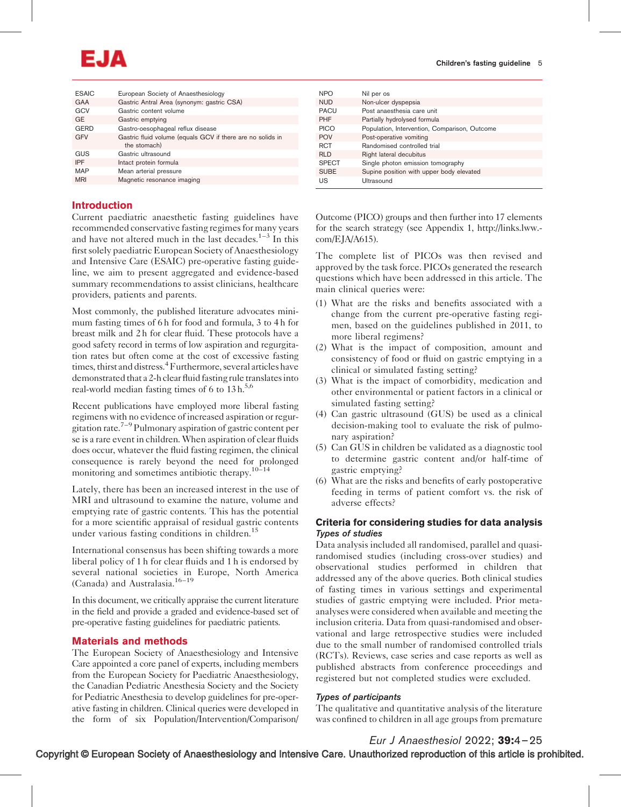# EJA

| <b>ESAIC</b> | European Society of Anaesthesiology                        | <b>NPO</b>   | Nil per os                                    |
|--------------|------------------------------------------------------------|--------------|-----------------------------------------------|
| <b>GAA</b>   | Gastric Antral Area (synonym: gastric CSA)                 | <b>NUD</b>   | Non-ulcer dyspepsia                           |
| GCV          | Gastric content volume                                     | <b>PACU</b>  | Post anaesthesia care unit                    |
| <b>GE</b>    | Gastric emptying                                           | <b>PHF</b>   | Partially hydrolysed formula                  |
| <b>GERD</b>  | Gastro-oesophageal reflux disease                          | <b>PICO</b>  | Population, Intervention, Comparison, Outcome |
| <b>GFV</b>   | Gastric fluid volume (equals GCV if there are no solids in | <b>POV</b>   | Post-operative vomiting                       |
|              | the stomach)                                               | <b>RCT</b>   | Randomised controlled trial                   |
| GUS          | Gastric ultrasound                                         | <b>RLD</b>   | Right lateral decubitus                       |
| <b>IPF</b>   | Intact protein formula                                     | <b>SPECT</b> | Single photon emission tomography             |
| <b>MAP</b>   | Mean arterial pressure                                     | <b>SUBE</b>  | Supine position with upper body elevated      |
| <b>MRI</b>   | Magnetic resonance imaging                                 | US           | Ultrasound                                    |

# Introduction

Current paediatric anaesthetic fasting guidelines have recommended conservative fasting regimes for many years and have not altered much in the last decades. $1-3$  In this first solely paediatric European Society of Anaesthesiology and Intensive Care (ESAIC) pre-operative fasting guideline, we aim to present aggregated and evidence-based summary recommendations to assist clinicians, healthcare providers, patients and parents.

Most commonly, the published literature advocates minimum fasting times of 6 h for food and formula, 3 to 4 h for breast milk and 2 h for clear fluid. These protocols have a good safety record in terms of low aspiration and regurgitation rates but often come at the cost of excessive fasting times, thirst and distress.<sup>4</sup> Furthermore, several articles have demonstrated that a 2-h clear fluid fasting rule translates into real-world median fasting times of 6 to  $13 h<sup>5,6</sup>$ 

Recent publications have employed more liberal fasting regimens with no evidence of increased aspiration or regurgitation rate.<sup>7–9</sup> Pulmonary aspiration of gastric content per se is a rare event in children. When aspiration of clear fluids does occur, whatever the fluid fasting regimen, the clinical consequence is rarely beyond the need for prolonged monitoring and sometimes antibiotic therapy.<sup>10–14</sup>

Lately, there has been an increased interest in the use of MRI and ultrasound to examine the nature, volume and emptying rate of gastric contents. This has the potential for a more scientific appraisal of residual gastric contents under various fasting conditions in children.<sup>15</sup>

International consensus has been shifting towards a more liberal policy of 1 h for clear fluids and 1 h is endorsed by several national societies in Europe, North America (Canada) and Australasia.16–19

In this document, we critically appraise the current literature in the field and provide a graded and evidence-based set of pre-operative fasting guidelines for paediatric patients.

# Materials and methods

The European Society of Anaesthesiology and Intensive Care appointed a core panel of experts, including members from the European Society for Paediatric Anaesthesiology, the Canadian Pediatric Anesthesia Society and the Society for Pediatric Anesthesia to develop guidelines for pre-operative fasting in children. Clinical queries were developed in the form of six Population/Intervention/Comparison/ Outcome (PICO) groups and then further into 17 elements for the search strategy (see Appendix 1, [http://links.lww.](http://links.lww.com/EJA/A615) [com/EJA/A615](http://links.lww.com/EJA/A615)).

The complete list of PICOs was then revised and approved by the task force. PICOs generated the research questions which have been addressed in this article. The main clinical queries were:

- (1) What are the risks and benefits associated with a change from the current pre-operative fasting regimen, based on the guidelines published in 2011, to more liberal regimens?
- (2) What is the impact of composition, amount and consistency of food or fluid on gastric emptying in a clinical or simulated fasting setting?
- (3) What is the impact of comorbidity, medication and other environmental or patient factors in a clinical or simulated fasting setting?
- (4) Can gastric ultrasound (GUS) be used as a clinical decision-making tool to evaluate the risk of pulmonary aspiration?
- (5) Can GUS in children be validated as a diagnostic tool to determine gastric content and/or half-time of gastric emptying?
- (6) What are the risks and benefits of early postoperative feeding in terms of patient comfort vs. the risk of adverse effects?

# Criteria for considering studies for data analysis Types of studies

Data analysis included all randomised, parallel and quasirandomised studies (including cross-over studies) and observational studies performed in children that addressed any of the above queries. Both clinical studies of fasting times in various settings and experimental studies of gastric emptying were included. Prior metaanalyses were considered when available and meeting the inclusion criteria. Data from quasi-randomised and observational and large retrospective studies were included due to the small number of randomised controlled trials (RCTs). Reviews, case series and case reports as well as published abstracts from conference proceedings and registered but not completed studies were excluded.

# Types of participants

The qualitative and quantitative analysis of the literature was confined to children in all age groups from premature

Eur J Anaesthesiol 2022; 39:4–25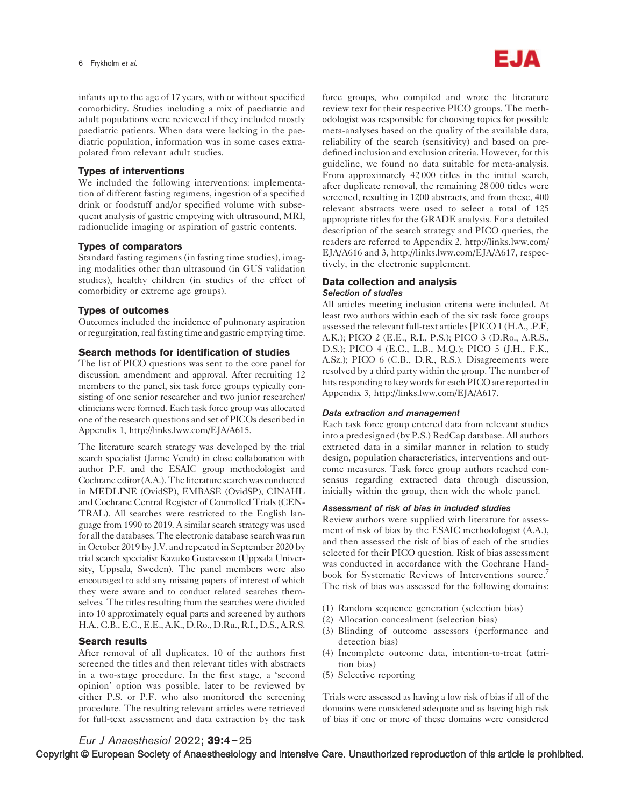infants up to the age of 17 years, with or without specified comorbidity. Studies including a mix of paediatric and adult populations were reviewed if they included mostly paediatric patients. When data were lacking in the paediatric population, information was in some cases extrapolated from relevant adult studies.

# Types of interventions

We included the following interventions: implementation of different fasting regimens, ingestion of a specified drink or foodstuff and/or specified volume with subsequent analysis of gastric emptying with ultrasound, MRI, radionuclide imaging or aspiration of gastric contents.

# Types of comparators

Standard fasting regimens (in fasting time studies), imaging modalities other than ultrasound (in GUS validation studies), healthy children (in studies of the effect of comorbidity or extreme age groups).

### Types of outcomes

Outcomes included the incidence of pulmonary aspiration or regurgitation, real fasting time and gastric emptying time.

#### Search methods for identification of studies

The list of PICO questions was sent to the core panel for discussion, amendment and approval. After recruiting 12 members to the panel, six task force groups typically consisting of one senior researcher and two junior researcher/ clinicians were formed. Each task force group was allocated one of the research questions and set of PICOs described in Appendix 1, [http://links.lww.com/EJA/A615.](http://links.lww.com/EJA/A615)

The literature search strategy was developed by the trial search specialist (Janne Vendt) in close collaboration with author P.F. and the ESAIC group methodologist and Cochrane editor (A.A.). The literature search was conducted in MEDLINE (OvidSP), EMBASE (OvidSP), CINAHL and Cochrane Central Register of Controlled Trials (CEN-TRAL). All searches were restricted to the English language from 1990 to 2019. A similar search strategy was used for all the databases. The electronic database search was run in October 2019 by J.V. and repeated in September 2020 by trial search specialist Kazuko Gustavsson (Uppsala University, Uppsala, Sweden). The panel members were also encouraged to add any missing papers of interest of which they were aware and to conduct related searches themselves. The titles resulting from the searches were divided into 10 approximately equal parts and screened by authors H.A., C.B., E.C., E.E., A.K., D.Ro., D.Ru., R.I., D.S., A.R.S.

# Search results

After removal of all duplicates, 10 of the authors first screened the titles and then relevant titles with abstracts in a two-stage procedure. In the first stage, a 'second opinion' option was possible, later to be reviewed by either P.S. or P.F. who also monitored the screening procedure. The resulting relevant articles were retrieved for full-text assessment and data extraction by the task force groups, who compiled and wrote the literature review text for their respective PICO groups. The methodologist was responsible for choosing topics for possible meta-analyses based on the quality of the available data, reliability of the search (sensitivity) and based on predefined inclusion and exclusion criteria. However, for this guideline, we found no data suitable for meta-analysis. From approximately 42 000 titles in the initial search, after duplicate removal, the remaining 28 000 titles were screened, resulting in 1200 abstracts, and from these, 400 relevant abstracts were used to select a total of 125 appropriate titles for the GRADE analysis. For a detailed description of the search strategy and PICO queries, the readers are referred to Appendix 2, [http://links.lww.com/](http://links.lww.com/EJA/A616) [EJA/A616](http://links.lww.com/EJA/A616) and 3,<http://links.lww.com/EJA/A617>, respectively, in the electronic supplement.

# Data collection and analysis Selection of studies

All articles meeting inclusion criteria were included. At least two authors within each of the six task force groups assessed the relevant full-text articles [PICO 1 (H.A., .P.F, A.K.); PICO 2 (E.E., R.I., P.S.); PICO 3 (D.Ro., A.R.S., D.S.); PICO 4 (E.C., L.B., M.Q.); PICO 5 (J.H., F.K., A.Sz.); PICO 6 (C.B., D.R., R.S.). Disagreements were resolved by a third party within the group. The number of hits responding to key words for each PICO are reported in Appendix 3, [http://links.lww.com/EJA/A617.](http://links.lww.com/EJA/A617)

#### Data extraction and management

Each task force group entered data from relevant studies into a predesigned (by P.S.) RedCap database. All authors extracted data in a similar manner in relation to study design, population characteristics, interventions and outcome measures. Task force group authors reached consensus regarding extracted data through discussion, initially within the group, then with the whole panel.

#### Assessment of risk of bias in included studies

Review authors were supplied with literature for assessment of risk of bias by the ESAIC methodologist (A.A.), and then assessed the risk of bias of each of the studies selected for their PICO question. Risk of bias assessment was conducted in accordance with the Cochrane Handbook for Systematic Reviews of Interventions source.<sup>7</sup> The risk of bias was assessed for the following domains:

- (1) Random sequence generation (selection bias)
- (2) Allocation concealment (selection bias)
- (3) Blinding of outcome assessors (performance and detection bias)
- (4) Incomplete outcome data, intention-to-treat (attrition bias)
- (5) Selective reporting

Trials were assessed as having a low risk of bias if all of the domains were considered adequate and as having high risk of bias if one or more of these domains were considered

Eur J Anaesthesiol 2022; 39:4–25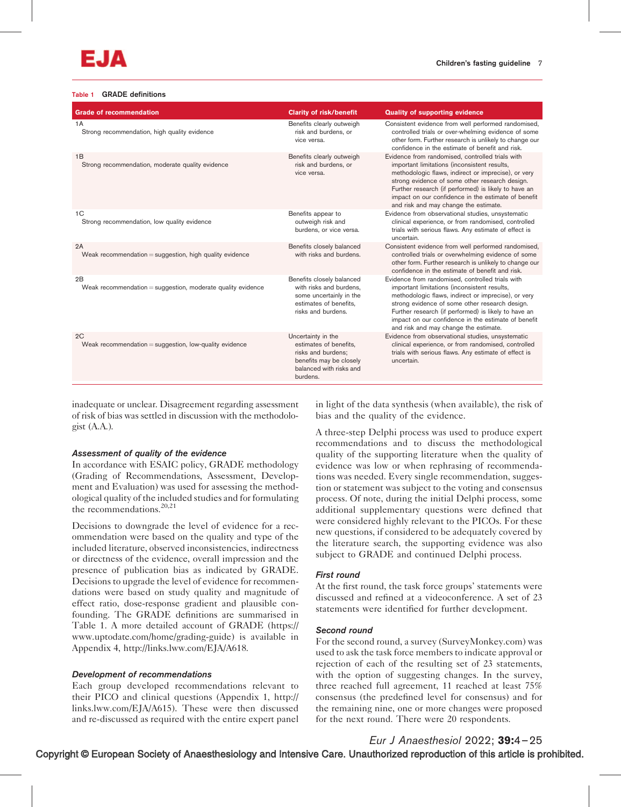#### Table 1 GRADE definitions

| <b>Grade of recommendation</b>                                      | <b>Clarity of risk/benefit</b>                                                                                                       | <b>Quality of supporting evidence</b>                                                                                                                                                                                                                                                                                                                             |
|---------------------------------------------------------------------|--------------------------------------------------------------------------------------------------------------------------------------|-------------------------------------------------------------------------------------------------------------------------------------------------------------------------------------------------------------------------------------------------------------------------------------------------------------------------------------------------------------------|
| 1A<br>Strong recommendation, high quality evidence                  | Benefits clearly outweigh<br>risk and burdens, or<br>vice versa.                                                                     | Consistent evidence from well performed randomised,<br>controlled trials or over-whelming evidence of some<br>other form. Further research is unlikely to change our<br>confidence in the estimate of benefit and risk.                                                                                                                                           |
| 1B<br>Strong recommendation, moderate quality evidence              | Benefits clearly outweigh<br>risk and burdens, or<br>vice versa.                                                                     | Evidence from randomised, controlled trials with<br>important limitations (inconsistent results,<br>methodologic flaws, indirect or imprecise), or very<br>strong evidence of some other research design.<br>Further research (if performed) is likely to have an<br>impact on our confidence in the estimate of benefit<br>and risk and may change the estimate. |
| 1 <sup>C</sup><br>Strong recommendation, low quality evidence       | Benefits appear to<br>outweigh risk and<br>burdens, or vice versa.                                                                   | Evidence from observational studies, unsystematic<br>clinical experience, or from randomised, controlled<br>trials with serious flaws. Any estimate of effect is<br>uncertain.                                                                                                                                                                                    |
| 2A<br>Weak recommendation = suggestion, high quality evidence       | Benefits closely balanced<br>with risks and burdens.                                                                                 | Consistent evidence from well performed randomised,<br>controlled trials or overwhelming evidence of some<br>other form. Further research is unlikely to change our<br>confidence in the estimate of benefit and risk.                                                                                                                                            |
| 2B<br>Weak recommendation $=$ suggestion, moderate quality evidence | Benefits closely balanced<br>with risks and burdens.<br>some uncertainly in the<br>estimates of benefits.<br>risks and burdens.      | Evidence from randomised, controlled trials with<br>important limitations (inconsistent results,<br>methodologic flaws, indirect or imprecise), or very<br>strong evidence of some other research design.<br>Further research (if performed) is likely to have an<br>impact on our confidence in the estimate of benefit<br>and risk and may change the estimate. |
| 2C<br>Weak recommendation $=$ suggestion, low-quality evidence      | Uncertainty in the<br>estimates of benefits,<br>risks and burdens;<br>benefits may be closely<br>balanced with risks and<br>burdens. | Evidence from observational studies, unsystematic<br>clinical experience, or from randomised, controlled<br>trials with serious flaws. Any estimate of effect is<br>uncertain.                                                                                                                                                                                    |

inadequate or unclear. Disagreement regarding assessment of risk of bias was settled in discussion with the methodologist (A.A.).

#### Assessment of quality of the evidence

In accordance with ESAIC policy, GRADE methodology (Grading of Recommendations, Assessment, Development and Evaluation) was used for assessing the methodological quality of the included studies and for formulating the recommendations.<sup>20,21</sup>

Decisions to downgrade the level of evidence for a recommendation were based on the quality and type of the included literature, observed inconsistencies, indirectness or directness of the evidence, overall impression and the presence of publication bias as indicated by GRADE. Decisions to upgrade the level of evidence for recommendations were based on study quality and magnitude of effect ratio, dose-response gradient and plausible confounding. The GRADE definitions are summarised in Table 1. A more detailed account of GRADE ([https://](https://www.uptodate.com/home/grading-guide) [www.uptodate.com/home/grading-guide\)](https://www.uptodate.com/home/grading-guide) is available in Appendix 4, [http://links.lww.com/EJA/A618.](http://links.lww.com/EJA/A618)

# Development of recommendations

Each group developed recommendations relevant to their PICO and clinical questions (Appendix 1, [http://](http://links.lww.com/EJA/A615) [links.lww.com/EJA/A615](http://links.lww.com/EJA/A615)). These were then discussed and re-discussed as required with the entire expert panel

in light of the data synthesis (when available), the risk of bias and the quality of the evidence.

A three-step Delphi process was used to produce expert recommendations and to discuss the methodological quality of the supporting literature when the quality of evidence was low or when rephrasing of recommendations was needed. Every single recommendation, suggestion or statement was subject to the voting and consensus process. Of note, during the initial Delphi process, some additional supplementary questions were defined that were considered highly relevant to the PICOs. For these new questions, if considered to be adequately covered by the literature search, the supporting evidence was also subject to GRADE and continued Delphi process.

#### First round

At the first round, the task force groups' statements were discussed and refined at a videoconference. A set of 23 statements were identified for further development.

#### Second round

For the second round, a survey (SurveyMonkey.com) was used to ask the task force members to indicate approval or rejection of each of the resulting set of 23 statements, with the option of suggesting changes. In the survey, three reached full agreement, 11 reached at least 75% consensus (the predefined level for consensus) and for the remaining nine, one or more changes were proposed for the next round. There were 20 respondents.

Copyright © European Society of Anaesthesiology and Intensive Care. Unauthorized reproduction of this article is prohibited. Eur J Anaesthesiol 2022; 39:4–25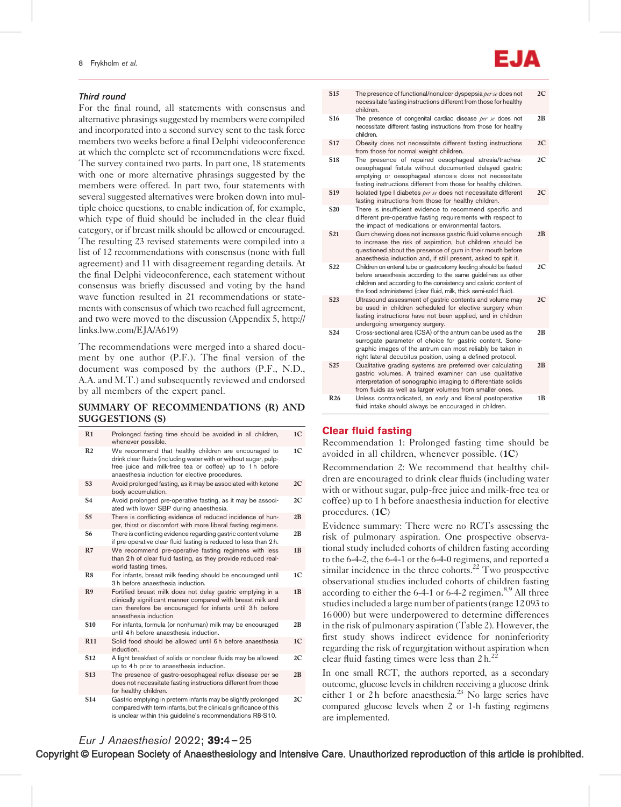#### Third round

For the final round, all statements with consensus and alternative phrasings suggested by members were compiled and incorporated into a second survey sent to the task force members two weeks before a final Delphi videoconference at which the complete set of recommendations were fixed. The survey contained two parts. In part one, 18 statements with one or more alternative phrasings suggested by the members were offered. In part two, four statements with several suggested alternatives were broken down into multiple choice questions, to enable indication of, for example, which type of fluid should be included in the clear fluid category, or if breast milk should be allowed or encouraged. The resulting 23 revised statements were compiled into a list of 12 recommendations with consensus (none with full agreement) and 11 with disagreement regarding details. At the final Delphi videoconference, each statement without consensus was briefly discussed and voting by the hand wave function resulted in 21 recommendations or statements with consensus of which two reached full agreement, and two were moved to the discussion (Appendix 5, [http://](http://links.lww.com/EJA/A619) [links.lww.com/EJA/A619\)](http://links.lww.com/EJA/A619)

The recommendations were merged into a shared document by one author (P.F.). The final version of the document was composed by the authors (P.F., N.D., A.A. and M.T.) and subsequently reviewed and endorsed by all members of the expert panel.

### SUMMARY OF RECOMMENDATIONS (R) AND SUGGESTIONS (S)

| R1              | Prolonged fasting time should be avoided in all children,<br>whenever possible.                                                                                                                                                       | 1 <sup>C</sup> |
|-----------------|---------------------------------------------------------------------------------------------------------------------------------------------------------------------------------------------------------------------------------------|----------------|
| R <sub>2</sub>  | We recommend that healthy children are encouraged to<br>drink clear fluids (including water with or without sugar, pulp-<br>free juice and milk-free tea or coffee) up to 1h before<br>anaesthesia induction for elective procedures. | 1 <sup>C</sup> |
| S <sub>3</sub>  | Avoid prolonged fasting, as it may be associated with ketone<br>body accumulation.                                                                                                                                                    | 2C             |
| <b>S4</b>       | Avoid prolonged pre-operative fasting, as it may be associ-<br>ated with lower SBP during anaesthesia.                                                                                                                                | 2C             |
| S <sub>5</sub>  | There is conflicting evidence of reduced incidence of hun-<br>ger, thirst or discomfort with more liberal fasting regimens.                                                                                                           | 2B             |
| <b>S6</b>       | There is conflicting evidence regarding gastric content volume<br>if pre-operative clear fluid fasting is reduced to less than 2 h.                                                                                                   | 2B             |
| R7              | We recommend pre-operative fasting regimens with less<br>than 2 h of clear fluid fasting, as they provide reduced real-<br>world fasting times.                                                                                       | 1B             |
| R <sub>8</sub>  | For infants, breast milk feeding should be encouraged until<br>3 h before anaesthesia induction.                                                                                                                                      | 1 <sup>C</sup> |
| R <sub>9</sub>  | Fortified breast milk does not delay gastric emptying in a<br>clinically significant manner compared with breast milk and<br>can therefore be encouraged for infants until 3h before<br>anaesthesia induction                         | 1 <sub>B</sub> |
| S <sub>10</sub> | For infants, formula (or nonhuman) milk may be encouraged<br>until 4 h before anaesthesia induction.                                                                                                                                  | 2B             |
| <b>R11</b>      | Solid food should be allowed until 6h before anaesthesia<br>induction.                                                                                                                                                                | 1 <sup>C</sup> |
| S <sub>12</sub> | A light breakfast of solids or nonclear fluids may be allowed<br>up to 4 h prior to anaesthesia induction.                                                                                                                            | 2C             |
| <b>S13</b>      | The presence of gastro-oesophageal reflux disease per se<br>does not necessitate fasting instructions different from those<br>for healthy children.                                                                                   | 2B             |
| <b>S14</b>      | Gastric emptying in preterm infants may be slightly prolonged<br>compared with term infants, but the clinical significance of this                                                                                                    | 2C             |

is unclear within this guideline's recommendations R8-S10.



- S15 The presence of functional/nonulcer dyspepsia per se does not necessitate fasting instructions different from those for healthy children.  $2C$
- S16 The presence of congenital cardiac disease per se does not necessitate different fasting instructions from those for healthy children. 2B
- S17 Obesity does not necessitate different fasting instructions from those for normal weight children. 2C
- S18 The presence of repaired oesophageal atresia/tracheaoesophageal fistula without documented delayed gastric emptying or oesophageal stenosis does not necessitate fasting instructions different from those for healthy children.  $2C$
- S19 Isolated type I diabetes per se does not necessitate different fasting instructions from those for healthy children.  $2C$
- S<sub>20</sub> There is insufficient evidence to recommend specific and different pre-operative fasting requirements with respect to the impact of medications or environmental factors.
- S21 Gum chewing does not increase gastric fluid volume enough to increase the risk of aspiration, but children should be questioned about the presence of gum in their mouth before anaesthesia induction and, if still present, asked to spit it. 2B
- S22 Children on enteral tube or gastrostomy feeding should be fasted before anaesthesia according to the same guidelines as other children and according to the consistency and caloric content of the food administered (clear fluid, milk, thick semi-solid fluid). 2C
- S23 Ultrasound assessment of gastric contents and volume may be used in children scheduled for elective surgery when fasting instructions have not been applied, and in children undergoing emergency surgery. 2C S24 Cross-sectional area (CSA) of the antrum can be used as the 2B
- surrogate parameter of choice for gastric content. Sonographic images of the antrum can most reliably be taken in right lateral decubitus position, using a defined protocol. S25 Cualitative grading systems are preferred over calculating gastric volumes. A trained examiner can use qualitative 2B
- interpretation of sonographic imaging to differentiate solids from fluids as well as larger volumes from smaller ones. R26 Unless contraindicated, an early and liberal postoperative fluid intake should always be encouraged in children. 1B

#### Clear fluid fasting

Recommendation 1: Prolonged fasting time should be avoided in all children, whenever possible. (1C)

Recommendation 2: We recommend that healthy children are encouraged to drink clear fluids (including water with or without sugar, pulp-free juice and milk-free tea or coffee) up to 1 h before anaesthesia induction for elective procedures. (1C)

Evidence summary: There were no RCTs assessing the risk of pulmonary aspiration. One prospective observational study included cohorts of children fasting according to the 6-4-2, the 6-4-1 or the 6-4-0 regimens, and reported a similar incidence in the three cohorts.<sup>22</sup> Two prospective observational studies included cohorts of children fasting according to either the  $6-4-1$  or  $6-4-2$  regimen.<sup>8,9</sup> All three studies included a large number of patients (range 12 093 to 16 000) but were underpowered to determine differences in the risk of pulmonary aspiration (Table 2). However, the first study shows indirect evidence for noninferiority regarding the risk of regurgitation without aspiration when clear fluid fasting times were less than  $2 h<sup>22</sup>$ 

In one small RCT, the authors reported, as a secondary outcome, glucose levels in children receiving a glucose drink either 1 or 2 h before anaesthesia.<sup>23</sup> No large series have compared glucose levels when 2 or 1-h fasting regimens are implemented.

# Eur J Anaesthesiol 2022; 39:4–25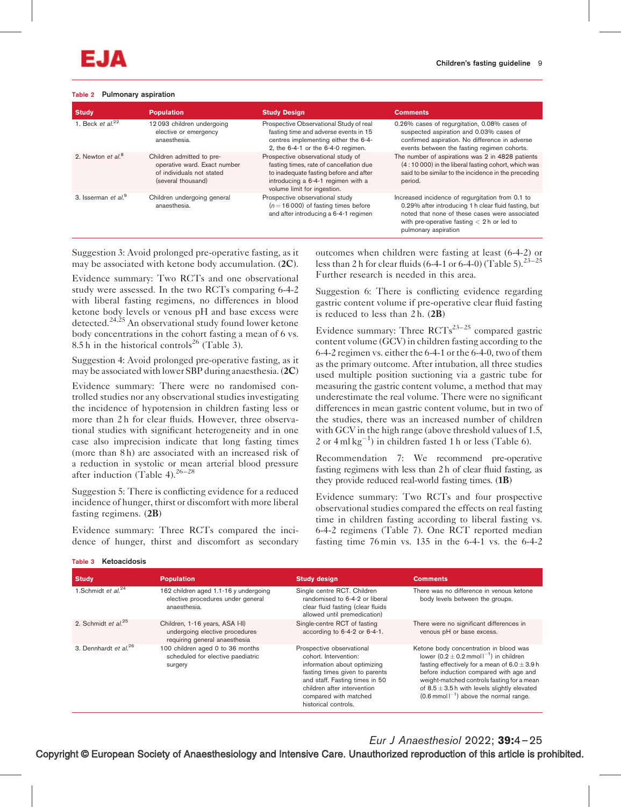#### Table 2 Pulmonary aspiration

| <b>Study</b>                    | <b>Population</b>                                                                                            | <b>Study Design</b>                                                                                                                                                                          | <b>Comments</b>                                                                                                                                                                                                                    |
|---------------------------------|--------------------------------------------------------------------------------------------------------------|----------------------------------------------------------------------------------------------------------------------------------------------------------------------------------------------|------------------------------------------------------------------------------------------------------------------------------------------------------------------------------------------------------------------------------------|
| 1. Beck et al. $^{22}$          | 12093 children undergoing<br>elective or emergency<br>anaesthesia.                                           | Prospective Observational Study of real<br>fasting time and adverse events in 15<br>centres implementing either the 6-4-<br>2, the 6-4-1 or the 6-4-0 regimen.                               | 0.26% cases of regurgitation, 0.08% cases of<br>suspected aspiration and 0.03% cases of<br>confirmed aspiration. No difference in adverse<br>events between the fasting regimen cohorts.                                           |
| 2. Newton et al. <sup>8</sup>   | Children admitted to pre-<br>operative ward. Exact number<br>of individuals not stated<br>(several thousand) | Prospective observational study of<br>fasting times, rate of cancellation due<br>to inadequate fasting before and after<br>introducing a 6-4-1 regimen with a<br>volume limit for ingestion. | The number of aspirations was 2 in 4828 patients<br>(4:10 000) in the liberal fasting cohort, which was<br>said to be similar to the incidence in the preceding<br>period.                                                         |
| 3. Isserman et al. <sup>9</sup> | Children undergoing general<br>anaesthesia.                                                                  | Prospective observational study<br>$(n = 16000)$ of fasting times before<br>and after introducing a 6-4-1 regimen                                                                            | Increased incidence of regurgitation from 0.1 to<br>0.29% after introducing 1 h clear fluid fasting, but<br>noted that none of these cases were associated<br>with pre-operative fasting $<$ 2 h or led to<br>pulmonary aspiration |

Suggestion 3: Avoid prolonged pre-operative fasting, as it may be associated with ketone body accumulation. (2C).

Evidence summary: Two RCTs and one observational study were assessed. In the two RCTs comparing 6-4-2 with liberal fasting regimens, no differences in blood ketone body levels or venous pH and base excess were detected.<sup>24,25</sup> An observational study found lower ketone body concentrations in the cohort fasting a mean of 6 vs. 8.5 h in the historical controls<sup>26</sup> (Table 3).

Suggestion 4: Avoid prolonged pre-operative fasting, as it may be associated with lower SBP during anaesthesia. (2C)

Evidence summary: There were no randomised controlled studies nor any observational studies investigating the incidence of hypotension in children fasting less or more than 2 h for clear fluids. However, three observational studies with significant heterogeneity and in one case also imprecision indicate that long fasting times (more than 8 h) are associated with an increased risk of a reduction in systolic or mean arterial blood pressure after induction (Table 4).<sup>26-28</sup>

Suggestion 5: There is conflicting evidence for a reduced incidence of hunger, thirst or discomfort with more liberal fasting regimens. (2B)

Evidence summary: Three RCTs compared the incidence of hunger, thirst and discomfort as secondary

outcomes when children were fasting at least (6-4-2) or less than 2 h for clear fluids (6-4-1 or 6-4-0) (Table 5).<sup>23-25</sup> Further research is needed in this area.

Suggestion 6: There is conflicting evidence regarding gastric content volume if pre-operative clear fluid fasting is reduced to less than  $2 h. (2B)$ 

Evidence summary: Three  $\text{RCTs}^{23-25}$  compared gastric content volume (GCV) in children fasting according to the 6-4-2 regimen vs. either the 6-4-1 or the 6-4-0, two of them as the primary outcome. After intubation, all three studies used multiple position suctioning via a gastric tube for measuring the gastric content volume, a method that may underestimate the real volume. There were no significant differences in mean gastric content volume, but in two of the studies, there was an increased number of children with GCV in the high range (above threshold values of 1.5, 2 or  $4 \text{ ml kg}^{-1}$ ) in children fasted 1 h or less (Table 6).

Recommendation 7: We recommend pre-operative fasting regimens with less than 2 h of clear fluid fasting, as they provide reduced real-world fasting times. (1B)

Evidence summary: Two RCTs and four prospective observational studies compared the effects on real fasting time in children fasting according to liberal fasting vs. 6-4-2 regimens (Table 7). One RCT reported median fasting time  $76 \text{min}$  vs. 135 in the 6-4-1 vs. the 6-4-2

| <b>Study</b>                      | <b>Population</b>                                                                                  | <b>Study design</b>                                                                                                                                                                                                                    | <b>Comments</b>                                                                                                                                                                                                                                                                                                                                              |
|-----------------------------------|----------------------------------------------------------------------------------------------------|----------------------------------------------------------------------------------------------------------------------------------------------------------------------------------------------------------------------------------------|--------------------------------------------------------------------------------------------------------------------------------------------------------------------------------------------------------------------------------------------------------------------------------------------------------------------------------------------------------------|
| 1.Schmidt et $al^{24}$            | 162 children aged 1.1-16 y undergoing<br>elective procedures under general<br>anaesthesia.         | Single centre RCT. Children<br>randomised to 6-4-2 or liberal<br>clear fluid fasting (clear fluids<br>allowed until premedication)                                                                                                     | There was no difference in venous ketone<br>body levels between the groups.                                                                                                                                                                                                                                                                                  |
| 2. Schmidt et $al^{25}$           | Children, 1-16 years, ASA I-II)<br>undergoing elective procedures<br>requiring general anaesthesia | Single-centre RCT of fasting<br>according to 6-4-2 or 6-4-1.                                                                                                                                                                           | There were no significant differences in<br>venous pH or base excess.                                                                                                                                                                                                                                                                                        |
| 3. Dennhardt et al. <sup>26</sup> | 100 children aged 0 to 36 months<br>scheduled for elective paediatric<br>surgery                   | Prospective observational<br>cohort. Intervention:<br>information about optimizing<br>fasting times given to parents<br>and staff. Fasting times in 50<br>children after intervention<br>compared with matched<br>historical controls. | Ketone body concentration in blood was<br>lower $(0.2 \pm 0.2 \text{ mmol} \, \text{I}^{-1})$ in children<br>fasting effectively for a mean of $6.0 \pm 3.9$ h<br>before induction compared with age and<br>weight-matched controls fasting for a mean<br>of $8.5 \pm 3.5$ h with levels slightly elevated<br>$(0.6$ mmol $I^{-1}$ ) above the normal range. |

#### Table 3 Ketoacidosis

Eur J Anaesthesiol 2022; 39:4–25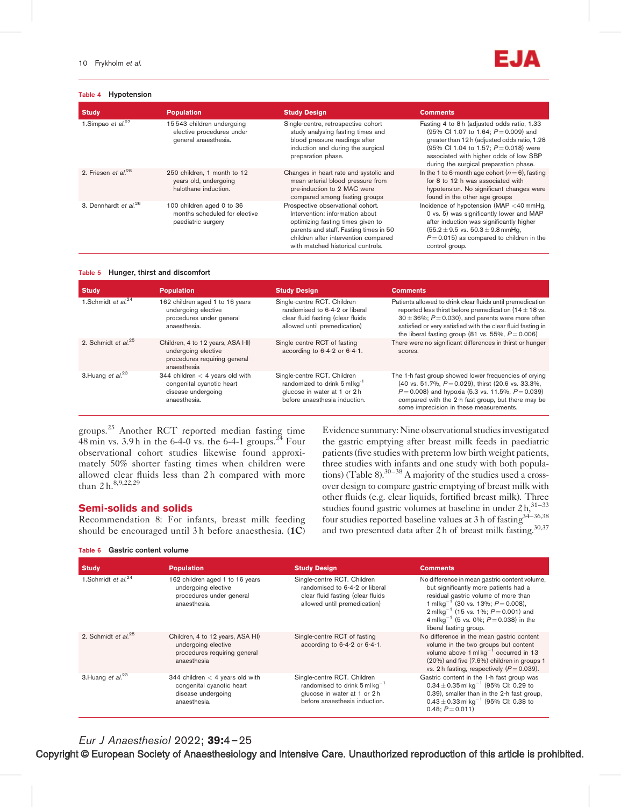#### Table 4 Hypotension



| <b>Study</b>                      | <b>Population</b>                                                                | <b>Study Design</b>                                                                                                                                                                                                              | <b>Comments</b>                                                                                                                                                                                                                                                        |
|-----------------------------------|----------------------------------------------------------------------------------|----------------------------------------------------------------------------------------------------------------------------------------------------------------------------------------------------------------------------------|------------------------------------------------------------------------------------------------------------------------------------------------------------------------------------------------------------------------------------------------------------------------|
| 1.Simpao et $al.^{27}$            | 15543 children undergoing<br>elective procedures under<br>general anaesthesia.   | Single-centre, retrospective cohort<br>study analysing fasting times and<br>blood pressure readings after<br>induction and during the surgical<br>preparation phase.                                                             | Fasting 4 to 8 h (adjusted odds ratio, 1.33<br>(95% CI 1.07 to 1.64; $P = 0.009$ ) and<br>greater than 12 h (adjusted odds ratio, 1.28<br>(95% CI 1.04 to 1.57; $P = 0.018$ ) were<br>associated with higher odds of low SBP<br>during the surgical preparation phase. |
| 2. Friesen et al. <sup>28</sup>   | 250 children, 1 month to 12<br>years old, undergoing<br>halothane induction.     | Changes in heart rate and systolic and<br>mean arterial blood pressure from<br>pre-induction to 2 MAC were<br>compared among fasting groups                                                                                      | In the 1 to 6-month age cohort $(n=6)$ , fasting<br>for 8 to 12 h was associated with<br>hypotension. No significant changes were<br>found in the other age groups                                                                                                     |
| 3. Dennhardt et al. <sup>26</sup> | 100 children aged 0 to 36<br>months scheduled for elective<br>paediatric surgery | Prospective observational cohort.<br>Intervention: information about<br>optimizing fasting times given to<br>parents and staff. Fasting times in 50<br>children after intervention compared<br>with matched historical controls. | Incidence of hypotension (MAP <40 mmHq,<br>0 vs. 5) was significantly lower and MAP<br>after induction was significantly higher<br>$(55.2 \pm 9.5 \text{ vs. } 50.3 \pm 9.8 \text{ mmHg.})$<br>$P = 0.015$ ) as compared to children in the<br>control group.          |

#### Table 5 Hunger, thirst and discomfort

| <b>Study</b>            | <b>Population</b>                                                                                        | <b>Study Design</b>                                                                                                                      | <b>Comments</b>                                                                                                                                                                                                                                                                                               |
|-------------------------|----------------------------------------------------------------------------------------------------------|------------------------------------------------------------------------------------------------------------------------------------------|---------------------------------------------------------------------------------------------------------------------------------------------------------------------------------------------------------------------------------------------------------------------------------------------------------------|
| 1.Schmidt et $al^{24}$  | 162 children aged 1 to 16 years<br>undergoing elective<br>procedures under general<br>anaesthesia.       | Single-centre RCT. Children<br>randomised to 6-4-2 or liberal<br>clear fluid fasting (clear fluids<br>allowed until premedication)       | Patients allowed to drink clear fluids until premedication<br>reported less thirst before premedication (14 $\pm$ 18 vs.<br>$30 \pm 36\%$ ; $P = 0.030$ ), and parents were more often<br>satisfied or very satisfied with the clear fluid fasting in<br>the liberal fasting group (81 vs. 55%, $P = 0.006$ ) |
| 2. Schmidt et $al^{25}$ | Children, 4 to 12 years, ASA I-II)<br>undergoing elective<br>procedures requiring general<br>anaesthesia | Single centre RCT of fasting<br>according to 6-4-2 or 6-4-1.                                                                             | There were no significant differences in thirst or hunger<br>scores.                                                                                                                                                                                                                                          |
| 3. Huang et $al.^{23}$  | 344 children $<$ 4 years old with<br>congenital cyanotic heart<br>disease undergoing<br>anaesthesia.     | Single-centre RCT. Children<br>randomized to drink 5 ml kg <sup>-1</sup><br>glucose in water at 1 or 2h<br>before anaesthesia induction. | The 1-h fast group showed lower frequencies of crying<br>(40 vs. 51.7%, $P = 0.029$ ), thirst (20.6 vs. 33.3%,<br>$P = 0.008$ ) and hypoxia (5.3 vs. 11.5%, $P = 0.039$ )<br>compared with the 2-h fast group, but there may be<br>some imprecision in these measurements.                                    |

groups.<sup>25</sup> Another RCT reported median fasting time  $\frac{48 \text{ min}}{3.9 \text{ h}}$  in the 6-4-0 vs. the 6-4-1 groups.<sup>24</sup> Four observational cohort studies likewise found approximately 50% shorter fasting times when children were allowed clear fluids less than 2 h compared with more than 2 h.  $8,9,22,29$ 

# Semi-solids and solids

Recommendation 8: For infants, breast milk feeding should be encouraged until 3 h before anaesthesia. (1C)

#### Table 6 Gastric content volume

Evidence summary: Nine observational studies investigated the gastric emptying after breast milk feeds in paediatric patients (five studies with preterm low birth weight patients, three studies with infants and one study with both populations) (Table 8). $30-38$  A majority of the studies used a crossover design to compare gastric emptying of breast milk with other fluids (e.g. clear liquids, fortified breast milk). Three studies found gastric volumes at baseline in under  $2 h$ ,  $31-33$ four studies reported baseline values at 3 h of fasting<sup>34-36,38</sup> and two presented data after 2 h of breast milk fasting.<sup>30,37</sup>

| <b>Study</b>            | <b>Population</b>                                                                                        | <b>Study Design</b>                                                                                                                         | <b>Comments</b>                                                                                                                                                                                                                                                                                                                 |
|-------------------------|----------------------------------------------------------------------------------------------------------|---------------------------------------------------------------------------------------------------------------------------------------------|---------------------------------------------------------------------------------------------------------------------------------------------------------------------------------------------------------------------------------------------------------------------------------------------------------------------------------|
| 1.Schmidt et $al^{24}$  | 162 children aged 1 to 16 years<br>undergoing elective<br>procedures under general<br>anaesthesia.       | Single-centre RCT. Children<br>randomised to 6-4-2 or liberal<br>clear fluid fasting (clear fluids<br>allowed until premedication)          | No difference in mean gastric content volume,<br>but significantly more patients had a<br>residual gastric volume of more than<br>1 ml kg <sup>-1</sup> (30 vs. 13%; $P = 0.008$ ),<br>$2$ ml kg <sup>-1</sup> (15 vs. 1%; $P = 0.001$ ) and<br>4 ml kg <sup>-1</sup> (5 vs. 0%; $P = 0.038$ ) in the<br>liberal fasting group. |
| 2. Schmidt et $al^{25}$ | Children, 4 to 12 years, ASA I-II)<br>undergoing elective<br>procedures requiring general<br>anaesthesia | Single-centre RCT of fasting<br>according to 6-4-2 or 6-4-1.                                                                                | No difference in the mean gastric content<br>volume in the two groups but content<br>volume above $1 \text{ ml} \text{ kg}^{-1}$ occurred in 13<br>(20%) and five (7.6%) children in groups 1<br>vs. 2 h fasting, respectively $(P = 0.039)$ .                                                                                  |
| 3. Huang et $al.^{23}$  | 344 children $<$ 4 years old with<br>congenital cyanotic heart<br>disease undergoing<br>anaesthesia.     | Single-centre RCT. Children<br>randomised to drink $5$ ml kg <sup>-1</sup><br>glucose in water at 1 or 2 h<br>before anaesthesia induction. | Gastric content in the 1-h fast group was<br>$0.34 \pm 0.35$ ml kg <sup>-1</sup> (95% CI: 0.29 to<br>0.39), smaller than in the 2-h fast group,<br>$0.43 \pm 0.33$ ml kg <sup>-1</sup> (95% CI: 0.38 to<br>$0.48: P = 0.011$                                                                                                    |

Eur J Anaesthesiol 2022; 39:4–25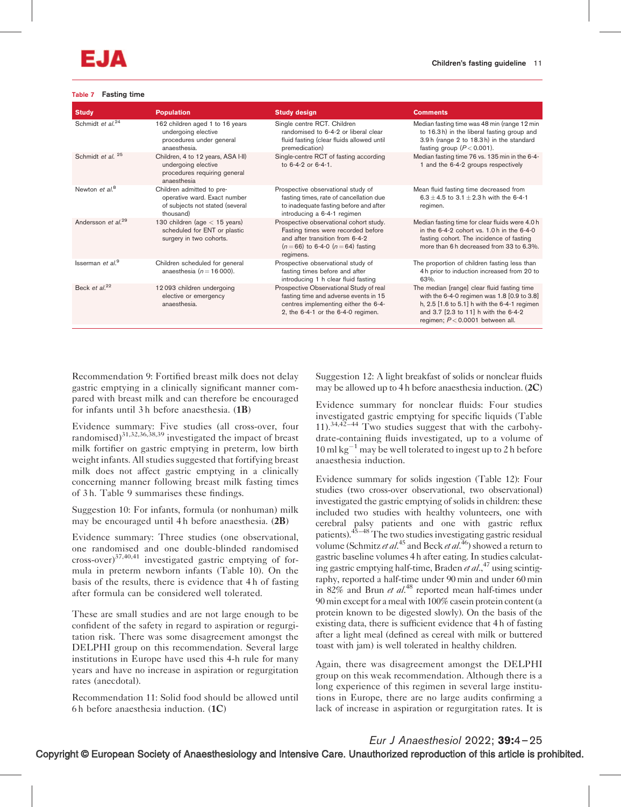#### Table 7 Fasting time

| <b>Study</b>                   | <b>Population</b>                                                                                         | <b>Study design</b>                                                                                                                                                 | <b>Comments</b>                                                                                                                                                                                                              |
|--------------------------------|-----------------------------------------------------------------------------------------------------------|---------------------------------------------------------------------------------------------------------------------------------------------------------------------|------------------------------------------------------------------------------------------------------------------------------------------------------------------------------------------------------------------------------|
| Schmidt et al. <sup>24</sup>   | 162 children aged 1 to 16 years<br>undergoing elective<br>procedures under general<br>anaesthesia.        | Single centre RCT. Children<br>randomised to 6-4-2 or liberal clear<br>fluid fasting (clear fluids allowed until<br>premedication)                                  | Median fasting time was 48 min (range 12 min<br>to 16.3h) in the liberal fasting group and<br>3.9 h (range 2 to 18.3 h) in the standard<br>fasting group $(P < 0.001)$ .                                                     |
| Schmidt et al. <sup>25</sup>   | Children, 4 to 12 years, ASA I-II)<br>undergoing elective<br>procedures requiring general<br>anaesthesia  | Single-centre RCT of fasting according<br>to $6-4-2$ or $6-4-1$ .                                                                                                   | Median fasting time 76 vs. 135 min in the 6-4-<br>1 and the 6-4-2 groups respectively                                                                                                                                        |
| Newton et al. <sup>8</sup>     | Children admitted to pre-<br>operative ward. Exact number<br>of subjects not stated (several<br>thousand) | Prospective observational study of<br>fasting times, rate of cancellation due<br>to inadequate fasting before and after<br>introducing a 6-4-1 regimen              | Mean fluid fasting time decreased from<br>6.3 ± 4.5 to 3.1 ± 2.3 h with the 6-4-1<br>regimen.                                                                                                                                |
| Andersson et al. <sup>29</sup> | 130 children (age $<$ 15 years)<br>scheduled for ENT or plastic<br>surgery in two cohorts.                | Prospective observational cohort study.<br>Fasting times were recorded before<br>and after transition from 6-4-2<br>$(n=66)$ to 6-4-0 $(n=64)$ fasting<br>regimens. | Median fasting time for clear fluids were 4.0 h<br>in the $6-4-2$ cohort vs. $1.0 h$ in the $6-4-0$<br>fasting cohort. The incidence of fasting<br>more than 6 h decreased from 33 to 6.3%.                                  |
| Isserman et $al9$              | Children scheduled for general<br>anaesthesia $(n = 16000)$ .                                             | Prospective observational study of<br>fasting times before and after<br>introducing 1 h clear fluid fasting                                                         | The proportion of children fasting less than<br>4 h prior to induction increased from 20 to<br>63%.                                                                                                                          |
| Beck et al. $^{22}$            | 12093 children undergoing<br>elective or emergency<br>anaesthesia.                                        | Prospective Observational Study of real<br>fasting time and adverse events in 15<br>centres implementing either the 6-4-<br>2, the $6-4-1$ or the $6-4-0$ regimen.  | The median [range] clear fluid fasting time<br>with the $6-4-0$ regimen was $1.8$ [0.9 to 3.8]<br>h, 2.5 [1.6 to 5.1] h with the 6-4-1 regimen<br>and 3.7 [2.3 to 11] h with the 6-4-2<br>regimen; $P < 0.0001$ between all. |

Recommendation 9: Fortified breast milk does not delay gastric emptying in a clinically significant manner compared with breast milk and can therefore be encouraged for infants until 3 h before anaesthesia. (1B)

Evidence summary: Five studies (all cross-over, four randomised)<sup>31,32,36,38,39</sup> investigated the impact of breast milk fortifier on gastric emptying in preterm, low birth weight infants. All studies suggested that fortifying breast milk does not affect gastric emptying in a clinically concerning manner following breast milk fasting times of 3 h. Table 9 summarises these findings.

Suggestion 10: For infants, formula (or nonhuman) milk may be encouraged until 4 h before anaesthesia. (2B)

Evidence summary: Three studies (one observational, one randomised and one double-blinded randomised cross-over)<sup>37,40,41</sup> investigated gastric emptying of formula in preterm newborn infants (Table 10). On the basis of the results, there is evidence that 4 h of fasting after formula can be considered well tolerated.

These are small studies and are not large enough to be confident of the safety in regard to aspiration or regurgitation risk. There was some disagreement amongst the DELPHI group on this recommendation. Several large institutions in Europe have used this 4-h rule for many years and have no increase in aspiration or regurgitation rates (anecdotal).

Recommendation 11: Solid food should be allowed until 6 h before anaesthesia induction. (1C)

Suggestion 12: A light breakfast of solids or nonclear fluids may be allowed up to 4 h before anaesthesia induction. (2C)

Evidence summary for nonclear fluids: Four studies investigated gastric emptying for specific liquids (Table  $11$ ).<sup>34,42–44</sup> Two studies suggest that with the carbohydrate-containing fluids investigated, up to a volume of  $10 \text{ ml kg}^{-1}$  may be well tolerated to ingest up to 2 h before anaesthesia induction.

Evidence summary for solids ingestion (Table 12): Four studies (two cross-over observational, two observational) investigated the gastric emptying of solids in children: these included two studies with healthy volunteers, one with cerebral palsy patients and one with gastric reflux patients).45–48 The two studies investigating gastric residual volume (Schmitz *et al*.<sup>45</sup> and Beck *et al*.<sup>46</sup>) showed a return to gastric baseline volumes 4 h after eating. In studies calculating gastric emptying half-time, Braden et  $al$ ,  $47$  using scintigraphy, reported a half-time under 90 min and under 60 min in  $82\%$  and Brun et al.<sup>48</sup> reported mean half-times under 90 min except for a meal with 100% casein protein content (a protein known to be digested slowly). On the basis of the existing data, there is sufficient evidence that 4 h of fasting after a light meal (defined as cereal with milk or buttered toast with jam) is well tolerated in healthy children.

Again, there was disagreement amongst the DELPHI group on this weak recommendation. Although there is a long experience of this regimen in several large institutions in Europe, there are no large audits confirming a lack of increase in aspiration or regurgitation rates. It is

Eur J Anaesthesiol 2022; 39:4–25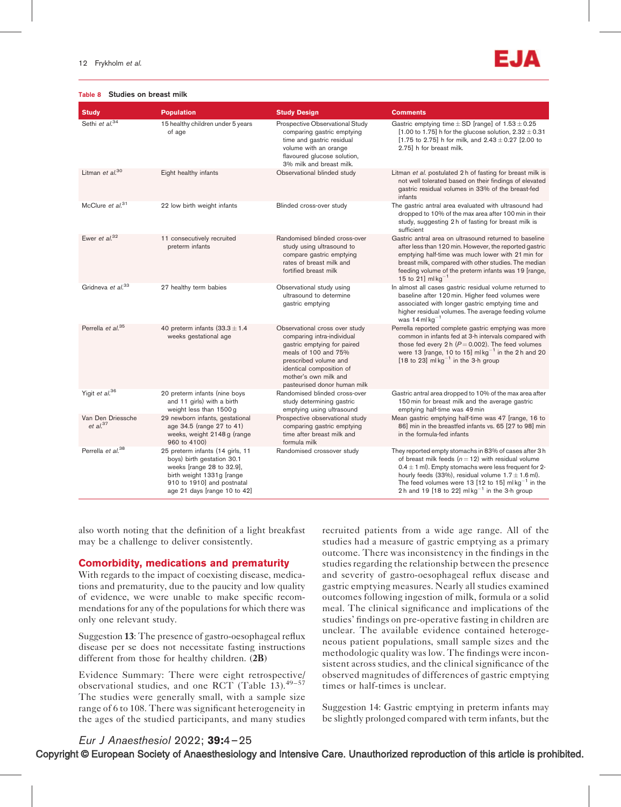#### Table 8 Studies on breast milk



| <b>Study</b>                              | <b>Population</b>                                                                                                                                                                      | <b>Study Design</b>                                                                                                                                                                                                               | <b>Comments</b>                                                                                                                                                                                                                                                                                                                                      |
|-------------------------------------------|----------------------------------------------------------------------------------------------------------------------------------------------------------------------------------------|-----------------------------------------------------------------------------------------------------------------------------------------------------------------------------------------------------------------------------------|------------------------------------------------------------------------------------------------------------------------------------------------------------------------------------------------------------------------------------------------------------------------------------------------------------------------------------------------------|
| Sethi et al. <sup>34</sup>                | 15 healthy children under 5 years<br>of age                                                                                                                                            | Prospective Observational Study<br>comparing gastric emptying<br>time and gastric residual<br>volume with an orange<br>flavoured glucose solution,<br>3% milk and breast milk.                                                    | Gastric emptying time $\pm$ SD [range] of 1.53 $\pm$ 0.25<br>[1.00 to 1.75] h for the glucose solution, $2.32 \pm 0.31$<br>[1.75 to 2.75] h for milk, and $2.43 \pm 0.27$ [2.00 to<br>2.75] h for breast milk.                                                                                                                                       |
| Litman et al. <sup>30</sup>               | Eight healthy infants                                                                                                                                                                  | Observational blinded study                                                                                                                                                                                                       | Litman et al. postulated 2 h of fasting for breast milk is<br>not well tolerated based on their findings of elevated<br>gastric residual volumes in 33% of the breast-fed<br>infants                                                                                                                                                                 |
| McClure et al. <sup>31</sup>              | 22 low birth weight infants                                                                                                                                                            | Blinded cross-over study                                                                                                                                                                                                          | The gastric antral area evaluated with ultrasound had<br>dropped to 10% of the max area after 100 min in their<br>study, suggesting 2 h of fasting for breast milk is<br>sufficient                                                                                                                                                                  |
| Ewer et $al^{32}$                         | 11 consecutively recruited<br>preterm infants                                                                                                                                          | Randomised blinded cross-over<br>study using ultrasound to<br>compare gastric emptying<br>rates of breast milk and<br>fortified breast milk                                                                                       | Gastric antral area on ultrasound returned to baseline<br>after less than 120 min. However, the reported gastric<br>emptying half-time was much lower with 21 min for<br>breast milk, compared with other studies. The median<br>feeding volume of the preterm infants was 19 [range,<br>15 to 21] $mlkg^{-1}$                                       |
| Gridneva et al. <sup>33</sup>             | 27 healthy term babies                                                                                                                                                                 | Observational study using<br>ultrasound to determine<br>gastric emptying                                                                                                                                                          | In almost all cases gastric residual volume returned to<br>baseline after 120 min. Higher feed volumes were<br>associated with longer gastric emptying time and<br>higher residual volumes. The average feeding volume<br>was $14$ ml kg <sup>-1</sup>                                                                                               |
| Perrella et al. <sup>35</sup>             | 40 preterm infants $(33.3 \pm 1.4)$<br>weeks gestational age                                                                                                                           | Observational cross over study<br>comparing intra-individual<br>gastric emptying for paired<br>meals of 100 and 75%<br>prescribed volume and<br>identical composition of<br>mother's own milk and<br>pasteurised donor human milk | Perrella reported complete gastric emptying was more<br>common in infants fed at 3-h intervals compared with<br>those fed every 2 h ( $P = 0.002$ ). The feed volumes<br>were 13 [range, 10 to 15] ml $kg^{-1}$ in the 2 h and 20<br>[18 to 23] ml $kg^{-1}$ in the 3-h group                                                                        |
| Yigit et $al^{36}$                        | 20 preterm infants (nine boys<br>and 11 girls) with a birth<br>weight less than 1500 g                                                                                                 | Randomised blinded cross-over<br>study determining gastric<br>emptying using ultrasound                                                                                                                                           | Gastric antral area dropped to 10% of the max area after<br>150 min for breast milk and the average gastric<br>emptying half-time was 49 min                                                                                                                                                                                                         |
| Van Den Driessche<br>et al. <sup>37</sup> | 29 newborn infants, gestational<br>age 34.5 (range 27 to 41)<br>weeks, weight 2148 g (range<br>960 to 4100)                                                                            | Prospective observational study<br>comparing gastric emptying<br>time after breast milk and<br>formula milk                                                                                                                       | Mean gastric emptying half-time was 47 [range, 16 to<br>86] min in the breastfed infants vs. 65 [27 to 98] min<br>in the formula-fed infants                                                                                                                                                                                                         |
| Perrella et al. <sup>38</sup>             | 25 preterm infants (14 girls, 11<br>boys) birth gestation 30.1<br>weeks [range 28 to 32.9],<br>birth weight 1331g [range<br>910 to 1910] and postnatal<br>age 21 days [range 10 to 42] | Randomised crossover study                                                                                                                                                                                                        | They reported empty stomachs in 83% of cases after 3 h<br>of breast milk feeds $(n = 12)$ with residual volume<br>$0.4 \pm 1$ ml). Empty stomachs were less frequent for 2-<br>hourly feeds (33%), residual volume $1.7 \pm 1.6$ ml).<br>The feed volumes were 13 [12 to 15] ml $kg^{-1}$ in the<br>2h and 19 [18 to 22] $mkg^{-1}$ in the 3-h group |

also worth noting that the definition of a light breakfast may be a challenge to deliver consistently.

# Comorbidity, medications and prematurity

With regards to the impact of coexisting disease, medications and prematurity, due to the paucity and low quality of evidence, we were unable to make specific recommendations for any of the populations for which there was only one relevant study.

Suggestion 13: The presence of gastro-oesophageal reflux disease per se does not necessitate fasting instructions different from those for healthy children. (2B)

Evidence Summary: There were eight retrospective/ observational studies, and one RCT (Table 13).<sup>49-57</sup> The studies were generally small, with a sample size range of 6 to 108. There was significant heterogeneity in the ages of the studied participants, and many studies recruited patients from a wide age range. All of the studies had a measure of gastric emptying as a primary outcome. There was inconsistency in the findings in the studies regarding the relationship between the presence and severity of gastro-oesophageal reflux disease and gastric emptying measures. Nearly all studies examined outcomes following ingestion of milk, formula or a solid meal. The clinical significance and implications of the studies' findings on pre-operative fasting in children are unclear. The available evidence contained heterogeneous patient populations, small sample sizes and the methodologic quality was low. The findings were inconsistent across studies, and the clinical significance of the observed magnitudes of differences of gastric emptying times or half-times is unclear.

Suggestion 14: Gastric emptying in preterm infants may be slightly prolonged compared with term infants, but the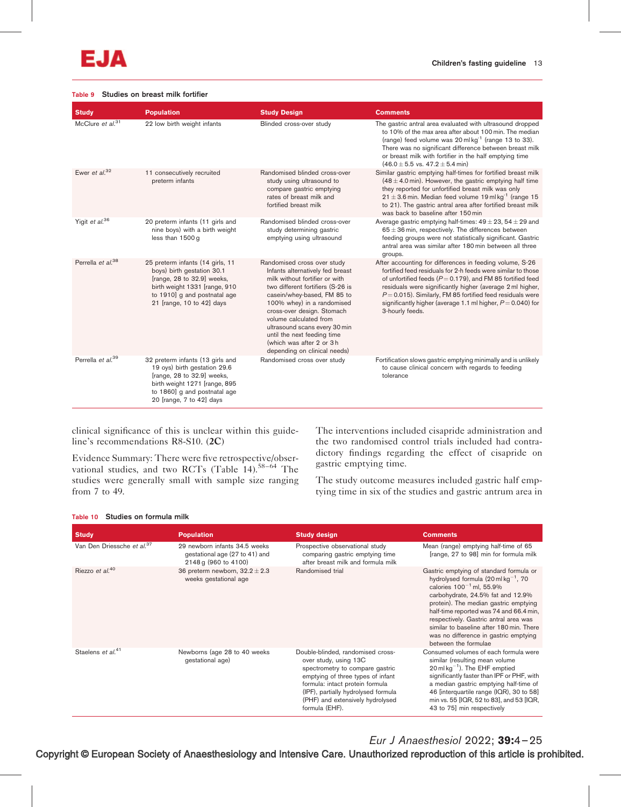#### Table 9 Studies on breast milk fortifier

| <b>Study</b>                  | <b>Population</b>                                                                                                                                                                           | <b>Study Design</b>                                                                                                                                                                                                                                                                                                                                                                      | <b>Comments</b>                                                                                                                                                                                                                                                                                                                                                                                               |
|-------------------------------|---------------------------------------------------------------------------------------------------------------------------------------------------------------------------------------------|------------------------------------------------------------------------------------------------------------------------------------------------------------------------------------------------------------------------------------------------------------------------------------------------------------------------------------------------------------------------------------------|---------------------------------------------------------------------------------------------------------------------------------------------------------------------------------------------------------------------------------------------------------------------------------------------------------------------------------------------------------------------------------------------------------------|
| McClure et al. <sup>31</sup>  | 22 low birth weight infants                                                                                                                                                                 | Blinded cross-over study                                                                                                                                                                                                                                                                                                                                                                 | The gastric antral area evaluated with ultrasound dropped<br>to 10% of the max area after about 100 min. The median<br>(range) feed volume was $20 \text{ ml} \text{ kg}^{-1}$ (range 13 to 33).<br>There was no significant difference between breast milk<br>or breast milk with fortifier in the half emptying time<br>$(46.0 \pm 5.5 \text{ vs. } 47.2 \pm 5.4 \text{ min})$                              |
| Ewer et al. $32$              | 11 consecutively recruited<br>preterm infants                                                                                                                                               | Randomised blinded cross-over<br>study using ultrasound to<br>compare gastric emptying<br>rates of breast milk and<br>fortified breast milk                                                                                                                                                                                                                                              | Similar gastric emptying half-times for fortified breast milk<br>$(48 \pm 4.0 \,\text{min})$ . However, the gastric emptying half time<br>they reported for unfortified breast milk was only<br>$21 \pm 3.6$ min. Median feed volume 19 ml kg <sup>-1</sup> (range 15<br>to 21). The gastric antral area after fortified breast milk<br>was back to baseline after 150 min                                    |
| Yigit et al. <sup>36</sup>    | 20 preterm infants (11 girls and<br>nine boys) with a birth weight<br>less than 1500 g                                                                                                      | Randomised blinded cross-over<br>study determining gastric<br>emptying using ultrasound                                                                                                                                                                                                                                                                                                  | Average gastric emptying half-times: $49 \pm 23$ , $54 \pm 29$ and<br>$65 \pm 36$ min, respectively. The differences between<br>feeding groups were not statistically significant. Gastric<br>antral area was similar after 180 min between all three<br>groups.                                                                                                                                              |
| Perrella et al. <sup>38</sup> | 25 preterm infants (14 girls, 11<br>boys) birth gestation 30.1<br>[range, 28 to 32.9] weeks,<br>birth weight 1331 [range, 910<br>to 1910] g and postnatal age<br>21 [range, 10 to 42] days  | Randomised cross over study<br>Infants alternatively fed breast<br>milk without fortifier or with<br>two different fortifiers (S-26 is<br>casein/whey-based, FM 85 to<br>100% whey) in a randomised<br>cross-over design. Stomach<br>volume calculated from<br>ultrasound scans every 30 min<br>until the next feeding time<br>(which was after 2 or 3h)<br>depending on clinical needs) | After accounting for differences in feeding volume, S-26<br>fortified feed residuals for 2-h feeds were similar to those<br>of unfortified feeds ( $P = 0.179$ ), and FM 85 fortified feed<br>residuals were significantly higher (average 2 ml higher,<br>$P = 0.015$ ). Similarly, FM 85 fortified feed residuals were<br>significantly higher (average 1.1 ml higher, $P = 0.040$ ) for<br>3-hourly feeds. |
| Perrella et al. <sup>39</sup> | 32 preterm infants (13 girls and<br>19 oys) birth gestation 29.6<br>[range, 28 to 32.9] weeks,<br>birth weight 1271 [range, 895<br>to 1860] g and postnatal age<br>20 [range, 7 to 42] days | Randomised cross over study                                                                                                                                                                                                                                                                                                                                                              | Fortification slows gastric emptying minimally and is unlikely<br>to cause clinical concern with regards to feeding<br>tolerance                                                                                                                                                                                                                                                                              |

clinical significance of this is unclear within this guideline's recommendations R8-S10. (2C)

Evidence Summary: There were five retrospective/observational studies, and two RCTs (Table 14).<sup>58-64</sup> The studies were generally small with sample size ranging from 7 to 49.

The interventions included cisapride administration and the two randomised control trials included had contradictory findings regarding the effect of cisapride on gastric emptying time.

The study outcome measures included gastric half emptying time in six of the studies and gastric antrum area in

#### Table 10 Studies on formula milk

| <b>Study</b>                           | <b>Population</b>                                                                       | <b>Study design</b>                                                                                                                                                                                                                                                | <b>Comments</b>                                                                                                                                                                                                                                                                                                                                                                                            |
|----------------------------------------|-----------------------------------------------------------------------------------------|--------------------------------------------------------------------------------------------------------------------------------------------------------------------------------------------------------------------------------------------------------------------|------------------------------------------------------------------------------------------------------------------------------------------------------------------------------------------------------------------------------------------------------------------------------------------------------------------------------------------------------------------------------------------------------------|
| Van Den Driessche et al. <sup>37</sup> | 29 newborn infants 34.5 weeks<br>gestational age (27 to 41) and<br>2148 g (960 to 4100) | Prospective observational study<br>comparing gastric emptying time<br>after breast milk and formula milk                                                                                                                                                           | Mean (range) emptying half-time of 65<br>[range, 27 to 98] min for formula milk                                                                                                                                                                                                                                                                                                                            |
| Riezzo et al. <sup>40</sup>            | 36 preterm newborn, $32.2 \pm 2.3$<br>weeks gestational age                             | Randomised trial                                                                                                                                                                                                                                                   | Gastric emptying of standard formula or<br>hydrolysed formula $(20 \text{ ml kg}^{-1}, 70$<br>calories $100^{-1}$ ml, 55.9%<br>carbohydrate, 24.5% fat and 12.9%<br>protein). The median gastric emptying<br>half-time reported was 74 and 66.4 min,<br>respectively. Gastric antral area was<br>similar to baseline after 180 min. There<br>was no difference in gastric emptying<br>between the formulae |
| Staelens et al. <sup>41</sup>          | Newborns (age 28 to 40 weeks)<br>gestational age)                                       | Double-blinded, randomised cross-<br>over study, using 13C<br>spectrometry to compare gastric<br>emptying of three types of infant<br>formula: intact protein formula<br>(IPF), partially hydrolysed formula<br>(PHF) and extensively hydrolysed<br>formula (EHF). | Consumed volumes of each formula were<br>similar (resulting mean volume<br>$20$ ml kg <sup>-1</sup> ). The EHF emptied<br>significantly faster than IPF or PHF, with<br>a median gastric emptying half-time of<br>46 [interquartile range (IQR), 30 to 58]<br>min vs. 55 [IQR, 52 to 83], and 53 [IQR,<br>43 to 75] min respectively                                                                       |

Eur J Anaesthesiol 2022; 39:4–25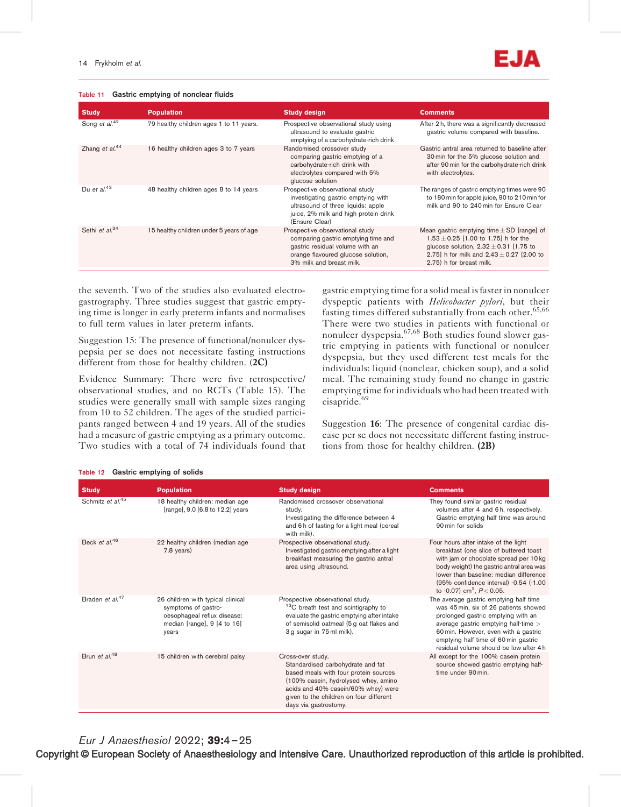Table 11 Gastric emptying of nonclear fluids

| <b>Study</b>               | <b>Population</b>                        | <b>Study design</b>                                                                                                                                                         | <b>Comments</b>                                                                                                                                                                                                       |
|----------------------------|------------------------------------------|-----------------------------------------------------------------------------------------------------------------------------------------------------------------------------|-----------------------------------------------------------------------------------------------------------------------------------------------------------------------------------------------------------------------|
| Song et al. <sup>42</sup>  | 79 healthy children ages 1 to 11 years.  | Prospective observational study using<br>ultrasound to evaluate gastric<br>emptying of a carbohydrate-rich drink                                                            | After 2 h, there was a significantly decreased<br>gastric volume compared with baseline.                                                                                                                              |
| Zhang et $al^{44}$         | 16 healthy children ages 3 to 7 years    | Randomised crossover study<br>comparing gastric emptying of a<br>carbohydrate-rich drink with<br>electrolytes compared with 5%<br>glucose solution                          | Gastric antral area returned to baseline after<br>30 min for the 5% glucose solution and<br>after 90 min for the carbohydrate-rich drink<br>with electrolytes.                                                        |
| Du et al. <sup>43</sup>    | 48 healthy children ages 8 to 14 years   | Prospective observational study<br>investigating gastric emptying with<br>ultrasound of three liquids: apple<br>juice, 2% milk and high protein drink<br>(Ensure Clear)     | The ranges of gastric emptying times were 90<br>to 180 min for apple juice, 90 to 210 min for<br>milk and 90 to 240 min for Ensure Clear                                                                              |
| Sethi et al. <sup>34</sup> | 15 healthy children under 5 years of age | Prospective observational study<br>comparing gastric emptying time and<br>gastric residual volume with an<br>orange flavoured glucose solution,<br>3% milk and breast milk. | Mean gastric emptying time $\pm$ SD [range] of<br>$1.53 \pm 0.25$ [1.00 to 1.75] h for the<br>glucose solution, $2.32 \pm 0.31$ [1.75 to<br>2.75] h for milk and $2.43 \pm 0.27$ [2.00 to<br>2.75) h for breast milk. |

the seventh. Two of the studies also evaluated electrogastrography. Three studies suggest that gastric emptying time is longer in early preterm infants and normalises to full term values in later preterm infants.

Suggestion 15: The presence of functional/nonulcer dyspepsia per se does not necessitate fasting instructions different from those for healthy children. (2C)

Evidence Summary: There were five retrospective/ observational studies, and no RCTs (Table 15). The studies were generally small with sample sizes ranging from 10 to 52 children. The ages of the studied participants ranged between 4 and 19 years. All of the studies had a measure of gastric emptying as a primary outcome. Two studies with a total of 74 individuals found that

gastric emptying time for a solid meal is faster in nonulcer dyspeptic patients with *Helicobacter pylori*, but their fasting times differed substantially from each other. $65,66$ There were two studies in patients with functional or nonulcer dyspepsia.<sup>67,68</sup> Both studies found slower gastric emptying in patients with functional or nonulcer dyspepsia, but they used different test meals for the individuals: liquid (nonclear, chicken soup), and a solid meal. The remaining study found no change in gastric emptying time for individuals who had been treated with cisapride.<sup>69</sup>

Suggestion 16: The presence of congenital cardiac disease per se does not necessitate different fasting instructions from those for healthy children. (2B)

| <b>Study</b>                 | <b>Population</b>                                                                                                               | <b>Study design</b>                                                                                                                                                                                                                                | <b>Comments</b>                                                                                                                                                                                                                                                                                      |
|------------------------------|---------------------------------------------------------------------------------------------------------------------------------|----------------------------------------------------------------------------------------------------------------------------------------------------------------------------------------------------------------------------------------------------|------------------------------------------------------------------------------------------------------------------------------------------------------------------------------------------------------------------------------------------------------------------------------------------------------|
| Schmitz et al. <sup>45</sup> | 18 healthy children: median age<br>[range], 9.0 [6.8 to 12.2] years                                                             | Randomised crossover observational<br>study.<br>Investigating the difference between 4<br>and 6 h of fasting for a light meal (cereal<br>with milk).                                                                                               | They found similar gastric residual<br>volumes after 4 and 6h, respectively.<br>Gastric emptying half time was around<br>90 min for solids                                                                                                                                                           |
| Beck et al. <sup>46</sup>    | 22 healthy children (median age<br>7.8 years)                                                                                   | Prospective observational study.<br>Investigated gastric emptying after a light<br>breakfast measuring the gastric antral<br>area using ultrasound.                                                                                                | Four hours after intake of the light<br>breakfast (one slice of buttered toast<br>with jam or chocolate spread per 10 kg<br>body weight) the gastric antral area was<br>lower than baseline: median difference<br>(95% confidence interval) -0.54 (-1.00<br>to -0.07) cm <sup>2</sup> , $P < 0.05$ . |
| Braden et al. <sup>47</sup>  | 26 children with typical clinical<br>symptoms of gastro-<br>oesophageal reflux disease:<br>median [range], 9 [4 to 16]<br>years | Prospective observational study.<br><sup>13</sup> C breath test and scintigraphy to<br>evaluate the gastric emptying after intake<br>of semisolid oatmeal (5 g oat flakes and<br>3 g sugar in 75 ml milk).                                         | The average gastric emptying half time<br>was 45 min, six of 26 patients showed<br>prolonged gastric emptying with an<br>average gastric emptying half-time ><br>60 min. However, even with a gastric<br>emptying half time of 60 min gastric<br>residual volume should be low after 4 h             |
| Brun et al. <sup>48</sup>    | 15 children with cerebral palsy                                                                                                 | Cross-over study.<br>Standardised carbohydrate and fat<br>based meals with four protein sources<br>(100% casein, hydrolysed whey, amino<br>acids and 40% casein/60% whey) were<br>given to the children on four different<br>days via gastrostomy. | All except for the 100% casein protein<br>source showed gastric emptying half-<br>time under 90 min.                                                                                                                                                                                                 |

#### Table 12 Gastric emptying of solids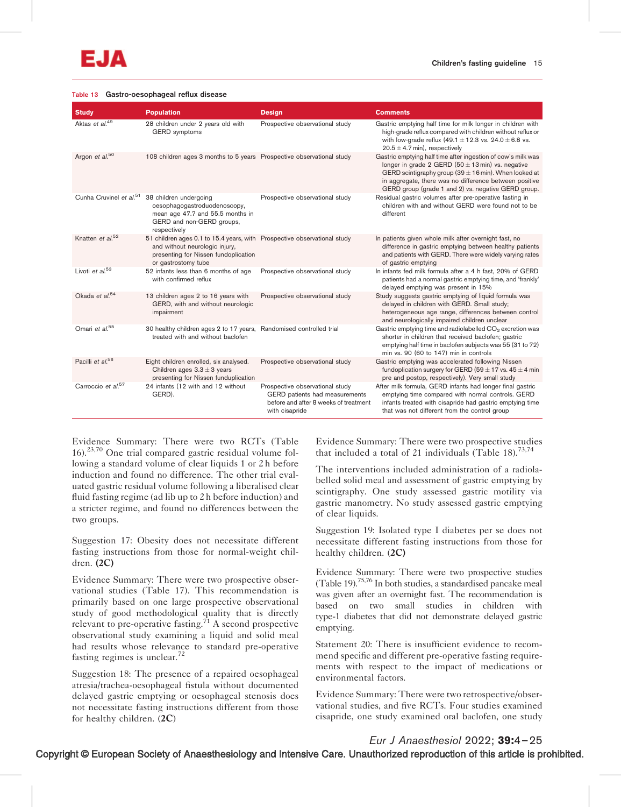#### Table 13 Gastro-oesophageal reflux disease

| <b>Study</b>                   | <b>Population</b>                                                                                                                                                           | <b>Design</b>                                                                                                                | <b>Comments</b>                                                                                                                                                                                                                                                                                     |
|--------------------------------|-----------------------------------------------------------------------------------------------------------------------------------------------------------------------------|------------------------------------------------------------------------------------------------------------------------------|-----------------------------------------------------------------------------------------------------------------------------------------------------------------------------------------------------------------------------------------------------------------------------------------------------|
| Aktas et al. <sup>49</sup>     | 28 children under 2 years old with<br><b>GERD</b> symptoms                                                                                                                  | Prospective observational study                                                                                              | Gastric emptying half time for milk longer in children with<br>high-grade reflux compared with children without reflux or<br>with low-grade reflux (49.1 $\pm$ 12.3 vs. 24.0 $\pm$ 6.8 vs.<br>$20.5 \pm 4.7$ min), respectively                                                                     |
| Argon et al. <sup>50</sup>     | 108 children ages 3 months to 5 years Prospective observational study                                                                                                       |                                                                                                                              | Gastric emptying half time after ingestion of cow's milk was<br>longer in grade 2 GERD (50 $\pm$ 13 min) vs. negative<br>GERD scintigraphy group (39 $\pm$ 16 min). When looked at<br>in aggregate, there was no difference between positive<br>GERD group (grade 1 and 2) vs. negative GERD group. |
|                                | Cunha Cruvinel et al. <sup>51</sup> 38 children undergoing<br>oesophagogastroduodenoscopy,<br>mean age 47.7 and 55.5 months in<br>GERD and non-GERD groups,<br>respectively | Prospective observational study                                                                                              | Residual gastric volumes after pre-operative fasting in<br>children with and without GERD were found not to be<br>different                                                                                                                                                                         |
| Knatten et al. <sup>52</sup>   | 51 children ages 0.1 to 15.4 years, with Prospective observational study<br>and without neurologic injury,<br>presenting for Nissen fundoplication<br>or gastrostomy tube   |                                                                                                                              | In patients given whole milk after overnight fast, no<br>difference in gastric emptying between healthy patients<br>and patients with GERD. There were widely varying rates<br>of gastric emptying                                                                                                  |
| Livoti et al. <sup>53</sup>    | 52 infants less than 6 months of age<br>with confirmed reflux                                                                                                               | Prospective observational study                                                                                              | In infants fed milk formula after a 4 h fast, 20% of GERD<br>patients had a normal gastric emptying time, and 'frankly'<br>delayed emptying was present in 15%                                                                                                                                      |
| Okada et al. <sup>54</sup>     | 13 children ages 2 to 16 years with<br>GERD, with and without neurologic<br>impairment                                                                                      | Prospective observational study                                                                                              | Study suggests gastric emptying of liquid formula was<br>delayed in children with GERD. Small study;<br>heterogeneous age range, differences between control<br>and neurologically impaired children unclear                                                                                        |
| Omari et al. <sup>55</sup>     | 30 healthy children ages 2 to 17 years, Randomised controlled trial<br>treated with and without baclofen                                                                    |                                                                                                                              | Gastric emptying time and radiolabelled CO <sub>2</sub> excretion was<br>shorter in children that received baclofen; gastric<br>emptying half time in baclofen subjects was 55 (31 to 72)<br>min vs. 90 (60 to 147) min in controls                                                                 |
| Pacilli et al. <sup>56</sup>   | Eight children enrolled, six analysed.<br>Children ages $3.3 \pm 3$ years<br>presenting for Nissen funduplication                                                           | Prospective observational study                                                                                              | Gastric emptying was accelerated following Nissen<br>fundoplication surgery for GERD (59 $\pm$ 17 vs. 45 $\pm$ 4 min<br>pre and postop, respectively). Very small study                                                                                                                             |
| Carroccio et al. <sup>57</sup> | 24 infants (12 with and 12 without<br>GERD).                                                                                                                                | Prospective observational study<br>GERD patients had measurements<br>before and after 8 weeks of treatment<br>with cisapride | After milk formula, GERD infants had longer final gastric<br>emptying time compared with normal controls. GERD<br>infants treated with cisapride had gastric emptying time<br>that was not different from the control group                                                                         |

Evidence Summary: There were two RCTs (Table 16).23,70 One trial compared gastric residual volume following a standard volume of clear liquids 1 or 2 h before induction and found no difference. The other trial evaluated gastric residual volume following a liberalised clear fluid fasting regime (ad lib up to 2 h before induction) and a stricter regime, and found no differences between the two groups.

Suggestion 17: Obesity does not necessitate different fasting instructions from those for normal-weight children. (2C)

Evidence Summary: There were two prospective observational studies (Table 17). This recommendation is primarily based on one large prospective observational study of good methodological quality that is directly relevant to pre-operative fasting.<sup> $71$ </sup> A second prospective observational study examining a liquid and solid meal had results whose relevance to standard pre-operative fasting regimes is unclear.<sup>72</sup>

Suggestion 18: The presence of a repaired oesophageal atresia/trachea-oesophageal fistula without documented delayed gastric emptying or oesophageal stenosis does not necessitate fasting instructions different from those for healthy children. (2C)

Evidence Summary: There were two prospective studies that included a total of 21 individuals (Table 18).<sup>73,74</sup>

The interventions included administration of a radiolabelled solid meal and assessment of gastric emptying by scintigraphy. One study assessed gastric motility via gastric manometry. No study assessed gastric emptying of clear liquids.

Suggestion 19: Isolated type I diabetes per se does not necessitate different fasting instructions from those for healthy children. (2C)

Evidence Summary: There were two prospective studies (Table 19).75,76 In both studies, a standardised pancake meal was given after an overnight fast. The recommendation is based on two small studies in children with type-1 diabetes that did not demonstrate delayed gastric emptying.

Statement 20: There is insufficient evidence to recommend specific and different pre-operative fasting requirements with respect to the impact of medications or environmental factors.

Evidence Summary: There were two retrospective/observational studies, and five RCTs. Four studies examined cisapride, one study examined oral baclofen, one study

# Eur J Anaesthesiol 2022; 39:4–25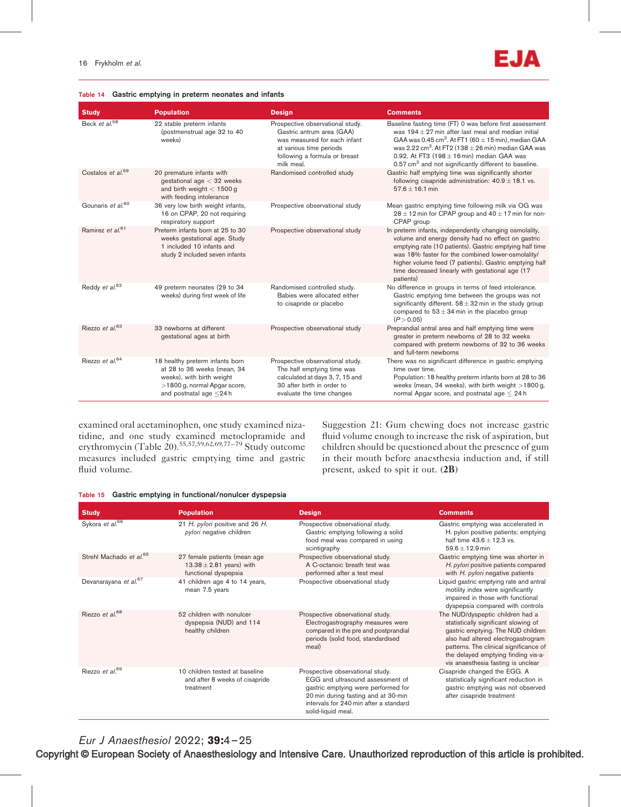#### Table 14 Gastric emptying in preterm neonates and infants

| <b>Study</b>                  | <b>Population</b>                                                                                                                                            | <b>Design</b>                                                                                                                                                           | <b>Comments</b>                                                                                                                                                                                                                                                                                                                                                                                 |
|-------------------------------|--------------------------------------------------------------------------------------------------------------------------------------------------------------|-------------------------------------------------------------------------------------------------------------------------------------------------------------------------|-------------------------------------------------------------------------------------------------------------------------------------------------------------------------------------------------------------------------------------------------------------------------------------------------------------------------------------------------------------------------------------------------|
| Beck et $a^{1.58}$            | 22 stable preterm infants<br>(postmenstrual age 32 to 40<br>weeks)                                                                                           | Prospective observational study.<br>Gastric antrum area (GAA)<br>was measured for each infant<br>at various time periods<br>following a formula or breast<br>milk meal. | Baseline fasting time (FT) 0 was before first assessment<br>was $194 \pm 27$ min after last meal and median initial<br>GAA was 0.45 cm <sup>2</sup> . At FT1 (60 $\pm$ 15 min), median GAA<br>was 2.22 cm <sup>2</sup> . At FT2 (138 $\pm$ 26 min) median GAA was<br>0.92. At FT3 $(198 \pm 16 \text{ min})$ median GAA was<br>$0.57 \text{ cm}^2$ and not significantly different to baseline. |
| Costalos et al. <sup>59</sup> | 20 premature infants with<br>gestational age $<$ 32 weeks<br>and birth weight $<$ 1500 g<br>with feeding intolerance                                         | Randomised controlled study                                                                                                                                             | Gastric half emptying time was significantly shorter<br>following cisapride administration: $40.9 \pm 18.1$ vs.<br>$57.6 \pm 16.1$ min                                                                                                                                                                                                                                                          |
| Gounaris et al. <sup>60</sup> | 36 very low birth weight infants,<br>16 on CPAP, 20 not requiring<br>respiratory support                                                                     | Prospective observational study                                                                                                                                         | Mean gastric emptying time following milk via OG was<br>$28 \pm 12$ min for CPAP group and $40 \pm 17$ min for non-<br>CPAP group                                                                                                                                                                                                                                                               |
| Ramirez et al. <sup>61</sup>  | Preterm infants born at 25 to 30<br>weeks gestational age. Study<br>1 included 10 infants and<br>study 2 included seven infants                              | Prospective observational study                                                                                                                                         | In preterm infants, independently changing osmolality,<br>volume and energy density had no effect on gastric<br>emptying rate (10 patients). Gastric emptying half time<br>was 18% faster for the combined lower-osmolality/<br>higher volume feed (7 patients). Gastric emptying half<br>time decreased linearly with gestational age (17)<br>patients)                                        |
| Reddy et al. <sup>62</sup>    | 49 preterm neonates (29 to 34<br>weeks) during first week of life                                                                                            | Randomised controlled study.<br>Babies were allocated either<br>to cisapride or placebo                                                                                 | No difference in groups in terms of feed intolerance.<br>Gastric emptying time between the groups was not<br>significantly different. $58 \pm 32$ min in the study group<br>compared to $53 \pm 34$ min in the placebo group<br>(P > 0.05)                                                                                                                                                      |
| Riezzo et $al$ <sup>63</sup>  | 33 newborns at different<br>gestational ages at birth                                                                                                        | Prospective observational study                                                                                                                                         | Preprandial antral area and half emptying time were<br>greater in preterm newborns of 28 to 32 weeks<br>compared with preterm newborns of 32 to 36 weeks<br>and full-term newborns                                                                                                                                                                                                              |
| Riezzo et al. <sup>64</sup>   | 18 healthy preterm infants born<br>at 28 to 36 weeks (mean, 34<br>weeks), with birth weight<br>>1800 g, normal Apgar score,<br>and postnatal age $\leq$ 24 h | Prospective observational study.<br>The half emptying time was<br>calculated at days 3, 7, 15 and<br>30 after birth in order to<br>evaluate the time changes            | There was no significant difference in gastric emptying<br>time over time.<br>Population: 18 healthy preterm infants born at 28 to 36<br>weeks (mean, 34 weeks), with birth weight $>1800$ g,<br>normal Apgar score, and postnatal age $\leq 24$ h                                                                                                                                              |

examined oral acetaminophen, one study examined nizatidine, and one study examined metoclopramide and erythromycin (Table 20).55,57,59,62,69,77–79 Study outcome measures included gastric emptying time and gastric fluid volume.

Suggestion 21: Gum chewing does not increase gastric fluid volume enough to increase the risk of aspiration, but children should be questioned about the presence of gum in their mouth before anaesthesia induction and, if still present, asked to spit it out. (2B)

|  |  |  |  | Table 15 Gastric emptying in functional/nonulcer dyspepsia |  |  |
|--|--|--|--|------------------------------------------------------------|--|--|
|--|--|--|--|------------------------------------------------------------|--|--|

| <b>Study</b>                        | <b>Population</b>                                                                    | <b>Design</b>                                                                                                                                                                                                      | <b>Comments</b>                                                                                                                                                                                                                                                             |
|-------------------------------------|--------------------------------------------------------------------------------------|--------------------------------------------------------------------------------------------------------------------------------------------------------------------------------------------------------------------|-----------------------------------------------------------------------------------------------------------------------------------------------------------------------------------------------------------------------------------------------------------------------------|
| Sykora et al. <sup>66</sup>         | 21 H. pylori positive and 26 H.<br>pylori negative children                          | Prospective observational study.<br>Gastric emptying following a solid<br>food meal was compared in using<br>scintigraphy                                                                                          | Gastric emptying was accelerated in<br>H. pylori positive patients: emptying<br>half time $43.6 + 12.3$ vs.<br>$59.6 \pm 12.9$ min                                                                                                                                          |
| Strehl Machado et al. <sup>65</sup> | 27 female patients (mean age<br>13.38 $\pm$ 2.81 years) with<br>functional dyspepsia | Prospective observational study.<br>A C-octanoic breath test was<br>performed after a test meal                                                                                                                    | Gastric emptying time was shorter in<br>H. pylori positive patients compared<br>with H. pylori negative patients                                                                                                                                                            |
| Devanarayana et al. <sup>67</sup>   | 41 children age 4 to 14 years,<br>mean 7.5 years                                     | Prospective observational study                                                                                                                                                                                    | Liquid gastric emptying rate and antral<br>motility index were significantly<br>impaired in those with functional<br>dyspepsia compared with controls                                                                                                                       |
| Riezzo et al. <sup>68</sup>         | 52 children with nonulcer<br>dyspepsia (NUD) and 114<br>healthy children             | Prospective observational study.<br>Electrogastrography measures were<br>compared in the pre and postprandial<br>periods (solid food, standardised<br>meal)                                                        | The NUD/dyspeptic children had a<br>statistically significant slowing of<br>gastric emptying. The NUD children<br>also had altered electrogastrogram<br>patterns. The clinical significance of<br>the delayed emptying finding vis-a-<br>vis anaesthesia fasting is unclear |
| Riezzo et al. <sup>69</sup>         | 10 children tested at baseline<br>and after 8 weeks of cisapride<br>treatment        | Prospective observational study.<br>EGG and ultrasound assessment of<br>gastric emptying were performed for<br>20 min during fasting and at 30-min<br>intervals for 240 min after a standard<br>solid-liquid meal. | Cisapride changed the EGG. A<br>statistically significant reduction in<br>gastric emptying was not observed<br>after cisapride treatment                                                                                                                                    |

Eur J Anaesthesiol 2022; 39:4–25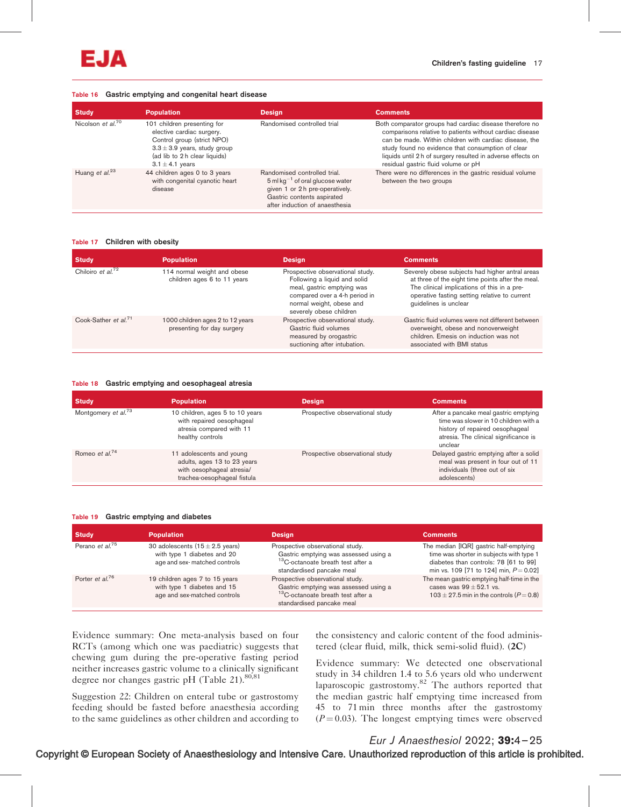

#### Table 16 Gastric emptying and congenital heart disease

| <b>Study</b>                  | <b>Population</b>                                                                                                                                                                  | <b>Design</b>                                                                                                                                                                                 | <b>Comments</b>                                                                                                                                                                                                                                                                                                                          |
|-------------------------------|------------------------------------------------------------------------------------------------------------------------------------------------------------------------------------|-----------------------------------------------------------------------------------------------------------------------------------------------------------------------------------------------|------------------------------------------------------------------------------------------------------------------------------------------------------------------------------------------------------------------------------------------------------------------------------------------------------------------------------------------|
| Nicolson et al. <sup>70</sup> | 101 children presenting for<br>elective cardiac surgery.<br>Control group (strict NPO)<br>$3.3 \pm 3.9$ years, study group<br>(ad lib to 2 h clear liquids)<br>$3.1 \pm 4.1$ years | Randomised controlled trial                                                                                                                                                                   | Both comparator groups had cardiac disease therefore no<br>comparisons relative to patients without cardiac disease<br>can be made. Within children with cardiac disease, the<br>study found no evidence that consumption of clear<br>liquids until 2 h of surgery resulted in adverse effects on<br>residual gastric fluid volume or pH |
| Huang et $al^{23}$            | 44 children ages 0 to 3 years<br>with congenital cyanotic heart<br>disease                                                                                                         | Randomised controlled trial.<br>$5$ ml kg <sup><math>-1</math></sup> of oral glucose water<br>given 1 or 2 h pre-operatively.<br>Gastric contents aspirated<br>after induction of anaesthesia | There were no differences in the gastric residual volume<br>between the two groups                                                                                                                                                                                                                                                       |

#### Table 17 Children with obesity

| <b>Study</b>                     | <b>Population</b>                                              | <b>Design</b>                                                                                                                                                                          | <b>Comments</b>                                                                                                                                                                                                               |
|----------------------------------|----------------------------------------------------------------|----------------------------------------------------------------------------------------------------------------------------------------------------------------------------------------|-------------------------------------------------------------------------------------------------------------------------------------------------------------------------------------------------------------------------------|
| Chiloiro et al. $^{72}$          | 114 normal weight and obese<br>children ages 6 to 11 years     | Prospective observational study.<br>Following a liquid and solid<br>meal, gastric emptying was<br>compared over a 4-h period in<br>normal weight, obese and<br>severely obese children | Severely obese subjects had higher antral areas<br>at three of the eight time points after the meal.<br>The clinical implications of this in a pre-<br>operative fasting setting relative to current<br>quidelines is unclear |
| Cook-Sather et al. <sup>71</sup> | 1000 children ages 2 to 12 years<br>presenting for day surgery | Prospective observational study.<br>Gastric fluid volumes<br>measured by orogastric<br>suctioning after intubation.                                                                    | Gastric fluid volumes were not different between<br>overweight, obese and nonoverweight<br>children. Emesis on induction was not<br>associated with BMI status                                                                |

#### Table 18 Gastric emptying and oesophageal atresia

| Study                           | <b>Population</b>                                                                                                   | <b>Design</b>                   | <b>Comments</b>                                                                                                                                                       |
|---------------------------------|---------------------------------------------------------------------------------------------------------------------|---------------------------------|-----------------------------------------------------------------------------------------------------------------------------------------------------------------------|
| Montgomery et al. <sup>73</sup> | 10 children, ages 5 to 10 years<br>with repaired oesophageal<br>atresia compared with 11<br>healthy controls        | Prospective observational study | After a pancake meal gastric emptying<br>time was slower in 10 children with a<br>history of repaired oesophageal<br>atresia. The clinical significance is<br>unclear |
| Romeo et al. <sup>74</sup>      | 11 adolescents and young<br>adults, ages 13 to 23 years<br>with oesophaqeal atresia/<br>trachea-oesophageal fistula | Prospective observational study | Delayed gastric emptying after a solid<br>meal was present in four out of 11<br>individuals (three out of six<br>adolescents)                                         |

#### Table 19 Gastric emptying and diabetes

| <b>Study</b>                | <b>Population</b>                                                                                          | <b>Design</b>                                                                                                                                           | <b>Comments</b>                                                                                                                                                          |
|-----------------------------|------------------------------------------------------------------------------------------------------------|---------------------------------------------------------------------------------------------------------------------------------------------------------|--------------------------------------------------------------------------------------------------------------------------------------------------------------------------|
| Perano et al. <sup>75</sup> | 30 adolescents $(15 \pm 2.5 \text{ years})$<br>with type 1 diabetes and 20<br>age and sex-matched controls | Prospective observational study.<br>Gastric emptying was assessed using a<br><sup>13</sup> C-octanoate breath test after a<br>standardised pancake meal | The median [IQR] gastric half-emptying<br>time was shorter in subjects with type 1<br>diabetes than controls: 78 [61 to 99]<br>min vs. 109 [71 to 124] min, $P = 0.02$ ] |
| Porter et al. <sup>76</sup> | 19 children ages 7 to 15 years<br>with type 1 diabetes and 15<br>age and sex-matched controls              | Prospective observational study.<br>Gastric emptying was assessed using a<br><sup>13</sup> C-octanoate breath test after a<br>standardised pancake meal | The mean gastric emptying half-time in the<br>cases was $99 \pm 52.1$ vs.<br>$103 \pm 27.5$ min in the controls ( $P = 0.8$ )                                            |

Evidence summary: One meta-analysis based on four RCTs (among which one was paediatric) suggests that chewing gum during the pre-operative fasting period neither increases gastric volume to a clinically significant degree nor changes gastric pH (Table 21).<sup>80,81</sup>

Suggestion 22: Children on enteral tube or gastrostomy feeding should be fasted before anaesthesia according to the same guidelines as other children and according to the consistency and caloric content of the food administered (clear fluid, milk, thick semi-solid fluid). (2C)

Evidence summary: We detected one observational study in 34 children 1.4 to 5.6 years old who underwent laparoscopic gastrostomy.<sup>82</sup> The authors reported that the median gastric half emptying time increased from 45 to 71 min three months after the gastrostomy  $(P = 0.03)$ . The longest emptying times were observed

# Eur J Anaesthesiol 2022; 39:4–25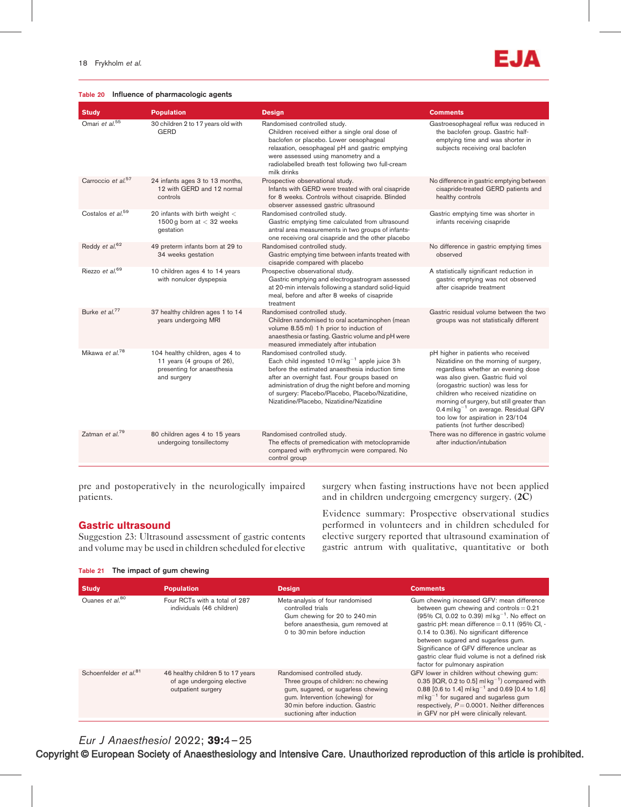Zatman et al.<sup>79</sup>

#### Table 20 Influence of pharmacologic agents

Omari et al.<sup>55</sup> 30 children 2 to 17 years old with **GERD** 

|                                |                                                                              | relaxation, oesophageal pH and gastric emptying<br>were assessed using manometry and a<br>radiolabelled breath test following two full-cream<br>milk drinks                                                                 | subjects receiving oral baclofen                                                                           |
|--------------------------------|------------------------------------------------------------------------------|-----------------------------------------------------------------------------------------------------------------------------------------------------------------------------------------------------------------------------|------------------------------------------------------------------------------------------------------------|
| Carroccio et al. <sup>57</sup> | 24 infants ages 3 to 13 months,<br>12 with GERD and 12 normal<br>controls    | Prospective observational study.<br>Infants with GERD were treated with oral cisapride<br>for 8 weeks. Controls without cisapride. Blinded<br>observer assessed gastric ultrasound                                          | No difference in gastric emptying between<br>cisapride-treated GERD patients and<br>healthy controls       |
| Costalos et al. <sup>59</sup>  | 20 infants with birth weight $<$<br>1500 g born at $<$ 32 weeks<br>gestation | Randomised controlled study.<br>Gastric emptying time calculated from ultrasound<br>antral area measurements in two groups of infants-<br>one receiving oral cisapride and the other placebo                                | Gastric emptying time was shorter in<br>infants receiving cisapride                                        |
| Reddy et al. <sup>62</sup>     | 49 preterm infants born at 29 to<br>34 weeks gestation                       | Randomised controlled study.<br>Gastric emptying time between infants treated with<br>cisapride compared with placebo                                                                                                       | No difference in gastric emptying times<br>observed                                                        |
| Riezzo et al. <sup>69</sup>    | 10 children ages 4 to 14 years<br>with nonulcer dyspepsia                    | Prospective observational study.<br>Gastric emptying and electrogastrogram assessed<br>at 20-min intervals following a standard solid-liquid<br>meal, before and after 8 weeks of cisapride<br>treatment                    | A statistically significant reduction in<br>gastric emptying was not observed<br>after cisapride treatment |
| Burke et al. <sup>77</sup>     | 37 healthy children ages 1 to 14<br>years undergoing MRI                     | Randomised controlled study.<br>Children randomised to oral acetaminophen (mean<br>volume 8.55 ml) 1 h prior to induction of<br>anaesthesia or fasting. Gastric volume and pH were<br>measured immediately after intubation | Gastric residual volume between the two<br>groups was not statistically different                          |
| Mikawa et al. <sup>78</sup>    | 104 healthy children, ages 4 to<br>11 years (4 groups of 26),                | Randomised controlled study.<br>Each child ingested $10 \text{ ml} \text{ kg}^{-1}$ apple juice 3h                                                                                                                          | pH higher in patients who received<br>Nizatidine on the morning of surgery,                                |

before the estimated anaesthesia induction time after an overnight fast. Four groups based on administration of drug the night before and morning of surgery: Placebo/Placebo, Placebo/Nizatidine, Nizatidine/Placebo, Nizatidine/Nizatidine

The effects of premedication with metoclopramide compared with erythromycin were compared. No

Randomised controlled study.

control group

Children received either a single oral dose of baclofen or placebo. Lower oesophageal

Study Population Design Comments

Randomised controlled study.

pre and postoperatively in the neurologically impaired patients.

presenting for anaesthesia

80 children ages 4 to 15 years undergoing tonsillectomy

and surgery

surgery when fasting instructions have not been applied and in children undergoing emergency surgery. (2C)

# Gastric ultrasound

Suggestion 23: Ultrasound assessment of gastric contents and volume may be used in children scheduled for elective

Evidence summary: Prospective observational studies performed in volunteers and in children scheduled for elective surgery reported that ultrasound examination of

#### Table 21 The impact of gum chewing

| <b>Study</b>                      | <b>Population</b>                                                                     | <b>Design</b>                                                                                                                                                                                                   | <b>Comments</b>                                                                                                                                                                                                                                                                                                                                                                                                                                        |
|-----------------------------------|---------------------------------------------------------------------------------------|-----------------------------------------------------------------------------------------------------------------------------------------------------------------------------------------------------------------|--------------------------------------------------------------------------------------------------------------------------------------------------------------------------------------------------------------------------------------------------------------------------------------------------------------------------------------------------------------------------------------------------------------------------------------------------------|
| Ouanes et al. <sup>80</sup>       | Four RCTs with a total of 287<br>individuals (46 children)                            | Meta-analysis of four randomised<br>controlled trials<br>Gum chewing for 20 to 240 min<br>before anaesthesia, gum removed at<br>0 to 30 min before induction                                                    | Gum chewing increased GFV: mean difference<br>between gum chewing and controls $= 0.21$<br>$(95\% \text{ Cl}, 0.02 \text{ to } 0.39) \text{ m}l \text{ kg}^{-1}$ . No effect on<br>qastric pH: mean difference = 0.11 (95% CI, -<br>0.14 to 0.36). No significant difference<br>between sugared and sugarless gum.<br>Significance of GFV difference unclear as<br>gastric clear fluid volume is not a defined risk<br>factor for pulmonary aspiration |
| Schoenfelder et al. <sup>81</sup> | 46 healthy children 5 to 17 years<br>of age undergoing elective<br>outpatient surgery | Randomised controlled study.<br>Three groups of children: no chewing<br>gum, sugared, or sugarless chewing<br>gum. Intervention (chewing) for<br>30 min before induction. Gastric<br>suctioning after induction | GFV lower in children without chewing gum:<br>0.35 $[IQR, 0.2$ to 0.5] ml $kq^{-1}$ compared with<br>0.88 [0.6 to 1.4] ml kg <sup>-1</sup> and 0.69 [0.4 to 1.6]<br>$mlkq^{-1}$ for sugared and sugarless gum<br>respectively, $P = 0.0001$ . Neither differences<br>in GFV nor pH were clinically relevant.                                                                                                                                           |

Eur J Anaesthesiol 2022; 39:4–25

Copyright © European Society of Anaesthesiology and Intensive Care. Unauthorized reproduction of this article is prohibited.



Gastroesophageal reflux was reduced in the baclofen group. Gastric halfemptying time and was shorter in

regardless whether an evening dose was also given. Gastric fluid vol (orogastric suction) was less for children who received nizatidine on morning of surgery, but still greater than 0.4 ml kg<sup>-1</sup> on average. Residual GFV too low for aspiration in 23/104 patients (not further described)

There was no difference in gastric volume after induction/intubation

gastric antrum with qualitative, quantitative or both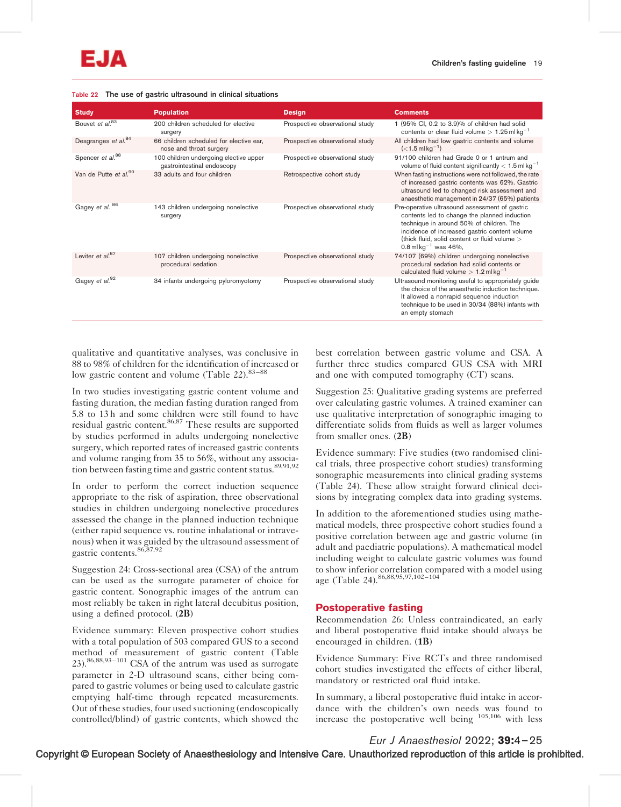

#### Table 22 The use of gastric ultrasound in clinical situations

| <b>Study</b>                      | <b>Population</b>                                                    | <b>Design</b>                   | <b>Comments</b>                                                                                                                                                                                                                                                                               |
|-----------------------------------|----------------------------------------------------------------------|---------------------------------|-----------------------------------------------------------------------------------------------------------------------------------------------------------------------------------------------------------------------------------------------------------------------------------------------|
| Bouvet et al. <sup>83</sup>       | 200 children scheduled for elective<br>surgery                       | Prospective observational study | 1 (95% CI, 0.2 to 3.9)% of children had solid<br>contents or clear fluid volume $> 1.25$ ml kg <sup>-1</sup>                                                                                                                                                                                  |
| Desgranges et al. <sup>84</sup>   | 66 children scheduled for elective ear,<br>nose and throat surgery   | Prospective observational study | All children had low gastric contents and volume<br>$(<$ 1.5 ml kg <sup>-1</sup> )                                                                                                                                                                                                            |
| Spencer et al. <sup>88</sup>      | 100 children undergoing elective upper<br>gastrointestinal endoscopy | Prospective observational study | 91/100 children had Grade 0 or 1 antrum and<br>volume of fluid content significantly $< 1.5$ ml kg <sup>-1</sup>                                                                                                                                                                              |
| Van de Putte et al. <sup>90</sup> | 33 adults and four children                                          | Retrospective cohort study      | When fasting instructions were not followed, the rate<br>of increased gastric contents was 62%. Gastric<br>ultrasound led to changed risk assessment and<br>anaesthetic management in 24/37 (65%) patients                                                                                    |
| Gagey et al. 86                   | 143 children undergoing nonelective<br>surgery                       | Prospective observational study | Pre-operative ultrasound assessment of gastric<br>contents led to change the planned induction<br>technique in around 50% of children. The<br>incidence of increased gastric content volume<br>(thick fluid, solid content or fluid volume ><br>0.8 ml kg <sup><math>-1</math></sup> was 46%, |
| Leviter et $al$ <sup>87</sup>     | 107 children undergoing nonelective<br>procedural sedation           | Prospective observational study | 74/107 (69%) children undergoing nonelective<br>procedural sedation had solid contents or<br>calculated fluid volume $> 1.2$ ml kg <sup>-1</sup>                                                                                                                                              |
| Gagey et al. <sup>92</sup>        | 34 infants undergoing pyloromyotomy                                  | Prospective observational study | Ultrasound monitoring useful to appropriately guide<br>the choice of the anaesthetic induction technique.<br>It allowed a nonrapid sequence induction<br>technique to be used in 30/34 (88%) infants with<br>an empty stomach                                                                 |

qualitative and quantitative analyses, was conclusive in 88 to 98% of children for the identification of increased or low gastric content and volume (Table  $22$ ).<sup>83–88</sup>

In two studies investigating gastric content volume and fasting duration, the median fasting duration ranged from 5.8 to 13 h and some children were still found to have residual gastric content.<sup>86,87</sup> These results are supported by studies performed in adults undergoing nonelective surgery, which reported rates of increased gastric contents and volume ranging from 35 to 56%, without any association between fasting time and gastric content status.<sup>89,91,92</sup>

In order to perform the correct induction sequence appropriate to the risk of aspiration, three observational studies in children undergoing nonelective procedures assessed the change in the planned induction technique (either rapid sequence vs. routine inhalational or intravenous) when it was guided by the ultrasound assessment of gastric contents.86,87,92

Suggestion 24: Cross-sectional area (CSA) of the antrum can be used as the surrogate parameter of choice for gastric content. Sonographic images of the antrum can most reliably be taken in right lateral decubitus position, using a defined protocol. (2B)

Evidence summary: Eleven prospective cohort studies with a total population of 503 compared GUS to a second method of measurement of gastric content (Table 23).86,88,93–101 CSA of the antrum was used as surrogate parameter in 2-D ultrasound scans, either being compared to gastric volumes or being used to calculate gastric emptying half-time through repeated measurements. Out of these studies, four used suctioning (endoscopically controlled/blind) of gastric contents, which showed the best correlation between gastric volume and CSA. A further three studies compared GUS CSA with MRI and one with computed tomography (CT) scans.

Suggestion 25: Qualitative grading systems are preferred over calculating gastric volumes. A trained examiner can use qualitative interpretation of sonographic imaging to differentiate solids from fluids as well as larger volumes from smaller ones. (2B)

Evidence summary: Five studies (two randomised clinical trials, three prospective cohort studies) transforming sonographic measurements into clinical grading systems (Table 24). These allow straight forward clinical decisions by integrating complex data into grading systems.

In addition to the aforementioned studies using mathematical models, three prospective cohort studies found a positive correlation between age and gastric volume (in adult and paediatric populations). A mathematical model including weight to calculate gastric volumes was found to show inferior correlation compared with a model using age (Table 24).<sup>86,88,95,97,102-104</sup>

#### Postoperative fasting

Recommendation 26: Unless contraindicated, an early and liberal postoperative fluid intake should always be encouraged in children. (1B)

Evidence Summary: Five RCTs and three randomised cohort studies investigated the effects of either liberal, mandatory or restricted oral fluid intake.

In summary, a liberal postoperative fluid intake in accordance with the children's own needs was found to increase the postoperative well being 105,106 with less

Eur J Anaesthesiol 2022; 39:4–25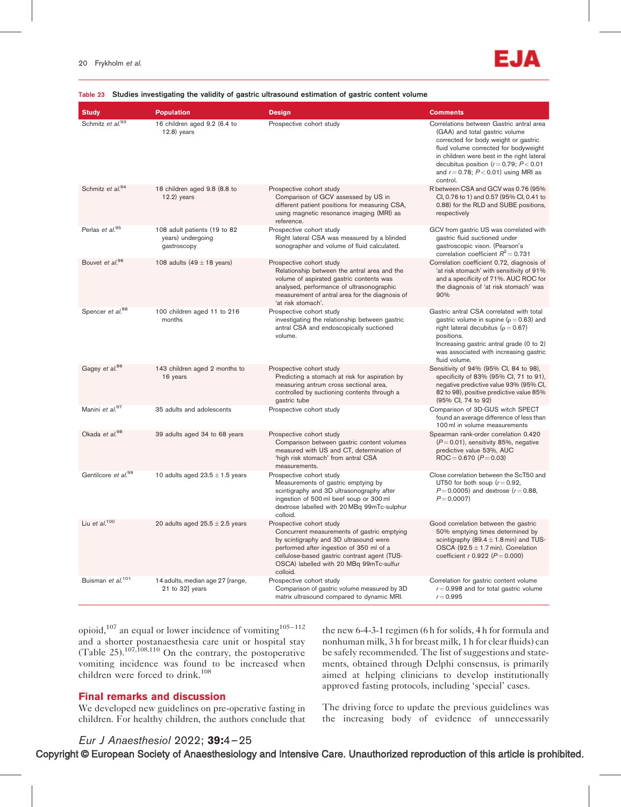# EAN

| <b>Study</b>                    | <b>Population</b>                                                | <b>Design</b>                                                                                                                                                                                                                                                        | <b>Comments</b>                                                                                                                                                                                                                                                                                                     |
|---------------------------------|------------------------------------------------------------------|----------------------------------------------------------------------------------------------------------------------------------------------------------------------------------------------------------------------------------------------------------------------|---------------------------------------------------------------------------------------------------------------------------------------------------------------------------------------------------------------------------------------------------------------------------------------------------------------------|
| Schmitz et al.93                | 16 children aged 9.2 (6.4 to<br>$12.8$ ) years                   | Prospective cohort study                                                                                                                                                                                                                                             | Correlations between Gastric antral area<br>(GAA) and total gastric volume<br>corrected for body weight or gastric<br>fluid volume corrected for bodyweight<br>in children were best in the right lateral<br>decubitus position ( $r = 0.79$ ; $P < 0.01$<br>and $r = 0.78$ ; $P < 0.01$ ) using MRI as<br>control. |
| Schmitz et al. <sup>94</sup>    | 18 children aged 9.8 (8.8 to<br>$12.2)$ years                    | Prospective cohort study<br>Comparison of GCV assessed by US in<br>different patient positions for measuring CSA,<br>using magnetic resonance imaging (MRI) as<br>reference.                                                                                         | R between CSA and GCV was 0.76 (95%)<br>CI, 0.76 to 1) and 0.57 (95% CI, 0.41 to<br>0.88) for the RLD and SUBE positions,<br>respectively                                                                                                                                                                           |
| Perlas et al. <sup>95</sup>     | 108 adult patients (19 to 82<br>years) undergoing<br>gastroscopy | Prospective cohort study<br>Right lateral CSA was measured by a blinded<br>sonographer and volume of fluid calculated.                                                                                                                                               | GCV from gastric US was correlated with<br>gastric fluid suctioned under<br>gastroscopic vison. (Pearson's<br>correlation coefficient $R^2 = 0.731$                                                                                                                                                                 |
| Bouvet et al. <sup>96</sup>     | 108 adults $(49 \pm 18 \text{ years})$                           | Prospective cohort study<br>Relationship between the antral area and the<br>volume of aspirated gastric contents was<br>analysed, performance of ultrasonographic<br>measurement of antral area for the diagnosis of<br>'at risk stomach'.                           | Correlation coefficient 0.72, diagnosis of<br>'at risk stomach' with sensitivity of 91%<br>and a specificity of 71%. AUC ROC for<br>the diagnosis of 'at risk stomach' was<br>90%                                                                                                                                   |
| Spencer et al. <sup>88</sup>    | 100 children aged 11 to 216<br>months                            | Prospective cohort study<br>investigating the relationship between gastric<br>antral CSA and endoscopically suctioned<br>volume.                                                                                                                                     | Gastric antral CSA correlated with total<br>gastric volume in supine ( $\rho$ = 0.63) and<br>right lateral decubitus ( $\rho = 0.67$ )<br>positions.<br>Increasing gastric antral grade (0 to 2)<br>was associated with increasing gastric<br>fluid volume.                                                         |
| Gagey et al. <sup>86</sup>      | 143 children aged 2 months to<br>16 years                        | Prospective cohort study<br>Predicting a stomach at risk for aspiration by<br>measuring antrum cross sectional area,<br>controlled by suctioning contents through a<br>gastric tube                                                                                  | Sensitivity of 94% (95% CI, 84 to 98),<br>specificity of 83% (95% CI, 71 to 91),<br>negative predictive value 93% (95% CI,<br>82 to 98), positive predictive value 85%<br>(95% Cl, 74 to 92)                                                                                                                        |
| Manini et al. <sup>97</sup>     | 35 adults and adolescents                                        | Prospective cohort study                                                                                                                                                                                                                                             | Comparison of 3D-GUS witch SPECT<br>found an average difference of less than<br>100 ml in volume measurements                                                                                                                                                                                                       |
| Okada et al. <sup>98</sup>      | 39 adults aged 34 to 68 years                                    | Prospective cohort study<br>Comparison between gastric content volumes<br>measured with US and CT, determination of<br>'high risk stomach' from antral CSA<br>measurements.                                                                                          | Spearman rank-order correlation 0.420<br>$(P=0.01)$ , sensitivity 85%, negative<br>predictive value 53%, AUC<br>$ROC = 0.670 (P = 0.03)$                                                                                                                                                                            |
| Gentilcore et al. <sup>99</sup> | 10 adults aged $23.5 \pm 1.5$ years                              | Prospective cohort study<br>Measurements of gastric emptying by<br>scintigraphy and 3D ultrasonography after<br>ingestion of 500 ml beef soup or 300 ml<br>dextrose labelled with 20 MBq 99mTc-sulphur<br>colloid.                                                   | Close correlation between the ScT50 and<br>UT50 for both soup $(r=0.92,$<br>$P = 0.0005$ ) and dextrose ( $r = 0.88$ ,<br>$P = 0.0007$                                                                                                                                                                              |
| Liu et $al$ . <sup>100</sup>    | 20 adults aged $25.5 \pm 2.5$ years                              | Prospective cohort study<br>Concurrent measurements of gastric emptying<br>by scintigraphy and 3D ultrasound were<br>performed after ingestion of 350 ml of a<br>cellulose-based gastric contrast agent (TUS-<br>OSCA) labelled with 20 MBq 99mTc-sulfur<br>colloid. | Good correlation between the gastric<br>50% emptying times determined by<br>scintigraphy (89.4 $\pm$ 1.8 min) and TUS-<br>OSCA $(92.5 \pm 1.7 \text{ min})$ . Correlation<br>coefficient $r$ 0.922 ( $P = 0.000$ )                                                                                                  |
| Buisman et al. <sup>101</sup>   | 14 adults, median age 27 [range,<br>21 to 32] years              | Prospective cohort study<br>Comparison of gastric volume measured by 3D<br>matrix ultrasound compared to dynamic MRI.                                                                                                                                                | Correlation for gastric content volume<br>$r = 0.998$ and for total gastric volume<br>$r = 0.995$                                                                                                                                                                                                                   |

#### Table 23 Studies investigating the validity of gastric ultrasound estimation of gastric content volume

opioid,<sup>107</sup> an equal or lower incidence of vomiting<sup>105–112</sup> and a shorter postanaesthesia care unit or hospital stay (Table 25).<sup>107,108,110</sup> On the contrary, the postoperative vomiting incidence was found to be increased when children were forced to drink.<sup>108</sup>

# Final remarks and discussion

We developed new guidelines on pre-operative fasting in children. For healthy children, the authors conclude that the new 6-4-3-1 regimen (6 h for solids, 4 h for formula and nonhuman milk, 3 h for breast milk, 1 h for clear fluids) can be safely recommended. The list of suggestions and statements, obtained through Delphi consensus, is primarily aimed at helping clinicians to develop institutionally approved fasting protocols, including 'special' cases.

The driving force to update the previous guidelines was the increasing body of evidence of unnecessarily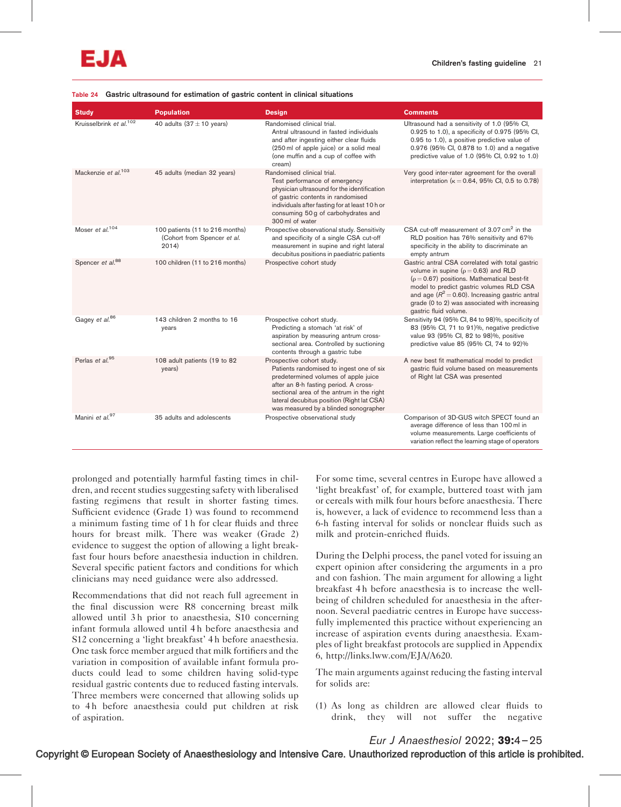#### Table 24 Gastric ultrasound for estimation of gastric content in clinical situations

| <b>Study</b>                        | <b>Population</b>                                                       | <b>Design</b>                                                                                                                                                                                                                                                                              | <b>Comments</b>                                                                                                                                                                                                                                                                                                             |
|-------------------------------------|-------------------------------------------------------------------------|--------------------------------------------------------------------------------------------------------------------------------------------------------------------------------------------------------------------------------------------------------------------------------------------|-----------------------------------------------------------------------------------------------------------------------------------------------------------------------------------------------------------------------------------------------------------------------------------------------------------------------------|
| Kruisselbrink et al. <sup>102</sup> | 40 adults $(37 \pm 10 \text{ years})$                                   | Randomised clinical trial.<br>Antral ultrasound in fasted individuals<br>and after ingesting either clear fluids<br>(250 ml of apple juice) or a solid meal<br>(one muffin and a cup of coffee with<br>cream)                                                                              | Ultrasound had a sensitivity of 1.0 (95% CI,<br>0.925 to 1.0), a specificity of 0.975 (95% CI,<br>0.95 to 1.0), a positive predictive value of<br>0.976 (95% Cl, 0.878 to 1.0) and a negative<br>predictive value of 1.0 (95% CI, 0.92 to 1.0)                                                                              |
| Mackenzie et al. <sup>103</sup>     | 45 adults (median 32 years)                                             | Randomised clinical trial.<br>Test performance of emergency<br>physician ultrasound for the identification<br>of gastric contents in randomised<br>individuals after fasting for at least 10 h or<br>consuming 50 g of carbohydrates and<br>300 ml of water                                | Very good inter-rater agreement for the overall<br>interpretation ( $\kappa = 0.64$ , 95% Cl, 0.5 to 0.78)                                                                                                                                                                                                                  |
| Moser et al. <sup>104</sup>         | 100 patients (11 to 216 months)<br>(Cohort from Spencer et al.<br>2014) | Prospective observational study. Sensitivity<br>and specificity of a single CSA cut-off<br>measurement in supine and right lateral<br>decubitus positions in paediatric patients                                                                                                           | CSA cut-off measurement of 3.07 cm <sup>2</sup> in the<br>RLD position has 76% sensitivity and 67%<br>specificity in the ability to discriminate an<br>empty antrum                                                                                                                                                         |
| Spencer et al. <sup>88</sup>        | 100 children (11 to 216 months)                                         | Prospective cohort study                                                                                                                                                                                                                                                                   | Gastric antral CSA correlated with total gastric<br>volume in supine ( $\rho = 0.63$ ) and RLD<br>$(p = 0.67)$ positions. Mathematical best-fit<br>model to predict gastric volumes RLD CSA<br>and age $(R^2 = 0.60)$ . Increasing gastric antral<br>grade (0 to 2) was associated with increasing<br>gastric fluid volume. |
| Gagey et al. <sup>86</sup>          | 143 children 2 months to 16<br>years                                    | Prospective cohort study.<br>Predicting a stomach 'at risk' of<br>aspiration by measuring antrum cross-<br>sectional area. Controlled by suctioning<br>contents through a gastric tube                                                                                                     | Sensitivity 94 (95% Cl, 84 to 98)%, specificity of<br>83 (95% Cl, 71 to 91)%, negative predictive<br>value 93 (95% Cl, 82 to 98)%, positive<br>predictive value 85 (95% Cl, 74 to 92)%                                                                                                                                      |
| Perlas et al. <sup>95</sup>         | 108 adult patients (19 to 82<br>years)                                  | Prospective cohort study.<br>Patients randomised to ingest one of six<br>predetermined volumes of apple juice<br>after an 8-h fasting period. A cross-<br>sectional area of the antrum in the right<br>lateral decubitus position (Right lat CSA)<br>was measured by a blinded sonographer | A new best fit mathematical model to predict<br>gastric fluid volume based on measurements<br>of Right lat CSA was presented                                                                                                                                                                                                |
| Manini et al. <sup>97</sup>         | 35 adults and adolescents                                               | Prospective observational study                                                                                                                                                                                                                                                            | Comparison of 3D-GUS witch SPECT found an<br>average difference of less than 100 ml in<br>volume measurements. Large coefficients of<br>variation reflect the learning stage of operators                                                                                                                                   |

prolonged and potentially harmful fasting times in children, and recent studies suggesting safety with liberalised fasting regimens that result in shorter fasting times. Sufficient evidence (Grade 1) was found to recommend a minimum fasting time of 1 h for clear fluids and three hours for breast milk. There was weaker (Grade 2) evidence to suggest the option of allowing a light breakfast four hours before anaesthesia induction in children. Several specific patient factors and conditions for which clinicians may need guidance were also addressed.

Recommendations that did not reach full agreement in the final discussion were R8 concerning breast milk allowed until 3h prior to anaesthesia, S10 concerning infant formula allowed until 4 h before anaesthesia and S12 concerning a 'light breakfast' 4 h before anaesthesia. One task force member argued that milk fortifiers and the variation in composition of available infant formula products could lead to some children having solid-type residual gastric contents due to reduced fasting intervals. Three members were concerned that allowing solids up to 4 h before anaesthesia could put children at risk of aspiration.

For some time, several centres in Europe have allowed a 'light breakfast' of, for example, buttered toast with jam or cereals with milk four hours before anaesthesia. There is, however, a lack of evidence to recommend less than a 6-h fasting interval for solids or nonclear fluids such as milk and protein-enriched fluids.

During the Delphi process, the panel voted for issuing an expert opinion after considering the arguments in a pro and con fashion. The main argument for allowing a light breakfast 4 h before anaesthesia is to increase the wellbeing of children scheduled for anaesthesia in the afternoon. Several paediatric centres in Europe have successfully implemented this practice without experiencing an increase of aspiration events during anaesthesia. Examples of light breakfast protocols are supplied in Appendix 6, [http://links.lww.com/EJA/A620.](http://links.lww.com/EJA/A620)

The main arguments against reducing the fasting interval for solids are:

(1) As long as children are allowed clear fluids to drink, they will not suffer the negative

#### Eur J Anaesthesiol 2022; 39:4–25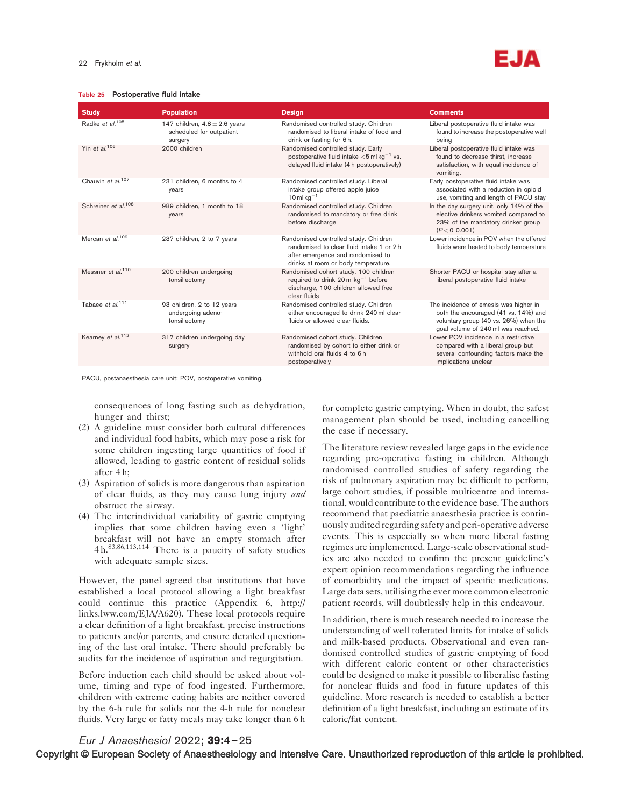### Table 25 Postoperative fluid intake



| <b>Population</b>                                                        | <b>Design</b>                                                                                                                                                  | <b>Comments</b>                                                                                                                                              |
|--------------------------------------------------------------------------|----------------------------------------------------------------------------------------------------------------------------------------------------------------|--------------------------------------------------------------------------------------------------------------------------------------------------------------|
| 147 children, $4.8 \pm 2.6$ years<br>scheduled for outpatient<br>surgery | Randomised controlled study. Children<br>randomised to liberal intake of food and<br>drink or fasting for 6h.                                                  | Liberal postoperative fluid intake was<br>found to increase the postoperative well<br>being                                                                  |
| 2000 children                                                            | Randomised controlled study. Early<br>postoperative fluid intake $<$ 5 ml kg <sup>-1</sup> vs.<br>delayed fluid intake (4 h postoperatively)                   | Liberal postoperative fluid intake was<br>found to decrease thirst, increase<br>satisfaction, with equal incidence of<br>vomiting.                           |
| 231 children, 6 months to 4<br>years                                     | Randomised controlled study. Liberal<br>intake group offered apple juice<br>$10$ ml kg <sup>-1</sup>                                                           | Early postoperative fluid intake was<br>associated with a reduction in opioid<br>use, vomiting and length of PACU stay                                       |
| 989 children, 1 month to 18<br>years                                     | Randomised controlled study. Children<br>randomised to mandatory or free drink<br>before discharge                                                             | In the day surgery unit, only 14% of the<br>elective drinkers vomited compared to<br>23% of the mandatory drinker group<br>(P < 0.001)                       |
| 237 children, 2 to 7 years                                               | Randomised controlled study. Children<br>randomised to clear fluid intake 1 or 2 h<br>after emergence and randomised to<br>drinks at room or body temperature. | Lower incidence in POV when the offered<br>fluids were heated to body temperature                                                                            |
| 200 children undergoing<br>tonsillectomy                                 | Randomised cohort study. 100 children<br>required to drink 20 ml $kg^{-1}$ before<br>discharge, 100 children allowed free<br>clear fluids                      | Shorter PACU or hospital stay after a<br>liberal postoperative fluid intake                                                                                  |
| 93 children, 2 to 12 years<br>undergoing adeno-<br>tonsillectomy         | Randomised controlled study. Children<br>either encouraged to drink 240 ml clear<br>fluids or allowed clear fluids.                                            | The incidence of emesis was higher in<br>both the encouraged (41 vs. 14%) and<br>voluntary group (40 vs. 26%) when the<br>goal volume of 240 ml was reached. |
| 317 children undergoing day<br>surgery                                   | Randomised cohort study. Children<br>randomised by cohort to either drink or<br>withhold oral fluids 4 to 6h<br>postoperatively                                | Lower POV incidence in a restrictive<br>compared with a liberal group but<br>several confounding factors make the<br>implications unclear                    |
|                                                                          |                                                                                                                                                                |                                                                                                                                                              |

PACU, postanaesthesia care unit; POV, postoperative vomiting.

consequences of long fasting such as dehydration, hunger and thirst;

- (2) A guideline must consider both cultural differences and individual food habits, which may pose a risk for some children ingesting large quantities of food if allowed, leading to gastric content of residual solids after 4 h;
- (3) Aspiration of solids is more dangerous than aspiration of clear fluids, as they may cause lung injury and obstruct the airway.
- (4) The interindividual variability of gastric emptying implies that some children having even a 'light' breakfast will not have an empty stomach after 4 h.83,86,113,114 There is a paucity of safety studies with adequate sample sizes.

However, the panel agreed that institutions that have established a local protocol allowing a light breakfast could continue this practice (Appendix 6, [http://](http://links.lww.com/EJA/A620) [links.lww.com/EJA/A620](http://links.lww.com/EJA/A620)). These local protocols require a clear definition of a light breakfast, precise instructions to patients and/or parents, and ensure detailed questioning of the last oral intake. There should preferably be audits for the incidence of aspiration and regurgitation.

Before induction each child should be asked about volume, timing and type of food ingested. Furthermore, children with extreme eating habits are neither covered by the 6-h rule for solids nor the 4-h rule for nonclear fluids. Very large or fatty meals may take longer than 6 h

for complete gastric emptying. When in doubt, the safest management plan should be used, including cancelling the case if necessary.

The literature review revealed large gaps in the evidence regarding pre-operative fasting in children. Although randomised controlled studies of safety regarding the risk of pulmonary aspiration may be difficult to perform, large cohort studies, if possible multicentre and international, would contribute to the evidence base. The authors recommend that paediatric anaesthesia practice is continuously audited regarding safety and peri-operative adverse events. This is especially so when more liberal fasting regimes are implemented. Large-scale observational studies are also needed to confirm the present guideline's expert opinion recommendations regarding the influence of comorbidity and the impact of specific medications. Large data sets, utilising the ever more common electronic patient records, will doubtlessly help in this endeavour.

In addition, there is much research needed to increase the understanding of well tolerated limits for intake of solids and milk-based products. Observational and even randomised controlled studies of gastric emptying of food with different caloric content or other characteristics could be designed to make it possible to liberalise fasting for nonclear fluids and food in future updates of this guideline. More research is needed to establish a better definition of a light breakfast, including an estimate of its caloric/fat content.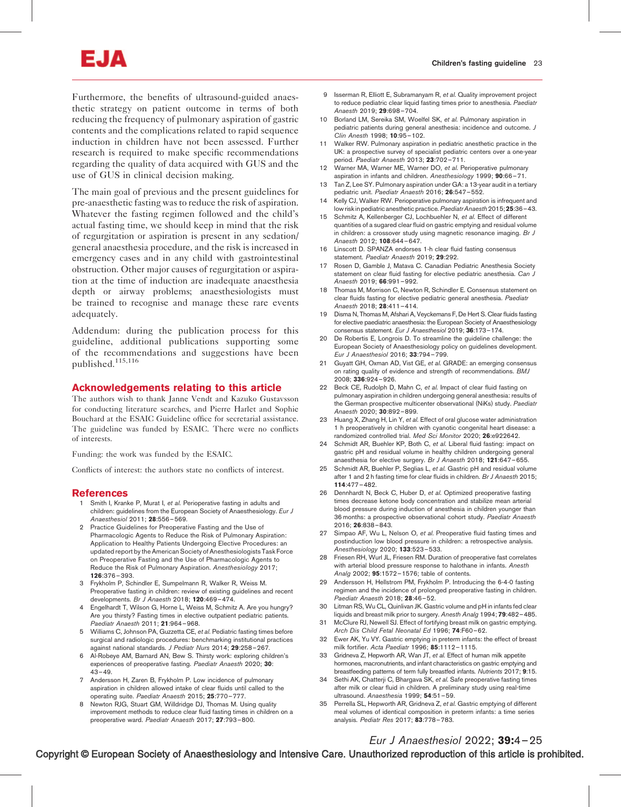# EJΑ

Furthermore, the benefits of ultrasound-guided anaesthetic strategy on patient outcome in terms of both reducing the frequency of pulmonary aspiration of gastric contents and the complications related to rapid sequence induction in children have not been assessed. Further research is required to make specific recommendations regarding the quality of data acquired with GUS and the use of GUS in clinical decision making.

The main goal of previous and the present guidelines for pre-anaesthetic fasting was to reduce the risk of aspiration. Whatever the fasting regimen followed and the child's actual fasting time, we should keep in mind that the risk of regurgitation or aspiration is present in any sedation/ general anaesthesia procedure, and the risk is increased in emergency cases and in any child with gastrointestinal obstruction. Other major causes of regurgitation or aspiration at the time of induction are inadequate anaesthesia depth or airway problems; anaesthesiologists must be trained to recognise and manage these rare events adequately.

Addendum: during the publication process for this guideline, additional publications supporting some of the recommendations and suggestions have been published.115,116

#### Acknowledgements relating to this article

The authors wish to thank Janne Vendt and Kazuko Gustavsson for conducting literature searches, and Pierre Harlet and Sophie Bouchard at the ESAIC Guideline office for secretarial assistance. The guideline was funded by ESAIC. There were no conflicts of interests.

Funding: the work was funded by the ESAIC.

Conflicts of interest: the authors state no conflicts of interest.

#### References

- 1 Smith I, Kranke P, Murat I, et al. Perioperative fasting in adults and children: guidelines from the European Society of Anaesthesiology. Eur J Anaesthesiol 2011; 28:556–569.
- 2 Practice Guidelines for Preoperative Fasting and the Use of Pharmacologic Agents to Reduce the Risk of Pulmonary Aspiration: Application to Healthy Patients Undergoing Elective Procedures: an updated report by the American Society of Anesthesiologists Task Force on Preoperative Fasting and the Use of Pharmacologic Agents to Reduce the Risk of Pulmonary Aspiration. Anesthesiology 2017; 126:376–393.
- 3 Frykholm P, Schindler E, Sumpelmann R, Walker R, Weiss M. Preoperative fasting in children: review of existing guidelines and recent developments. Br J Anaesth 2018; 120:469–474.
- 4 Engelhardt T, Wilson G, Horne L, Weiss M, Schmitz A. Are you hungry? Are you thirsty? Fasting times in elective outpatient pediatric patients. Paediatr Anaesth 2011; 21:964–968.
- 5 Williams C, Johnson PA, Guzzetta CE, et al. Pediatric fasting times before surgical and radiologic procedures: benchmarking institutional practices against national standards. J Pediatr Nurs 2014; 29:258–267.
- 6 Al-Robeye AM, Barnard AN, Bew S. Thirsty work: exploring children's experiences of preoperative fasting. Paediatr Anaesth 2020; 30:  $43 - 49$ .
- 7 Andersson H, Zaren B, Frykholm P. Low incidence of pulmonary aspiration in children allowed intake of clear fluids until called to the operating suite. Paediatr Anaesth 2015; 25:770–777.
- 8 Newton RJG, Stuart GM, Willdridge DJ, Thomas M. Using quality improvement methods to reduce clear fluid fasting times in children on a preoperative ward. Paediatr Anaesth 2017; 27:793–800.
- 9 Isserman R, Elliott E, Subramanyam R, et al. Quality improvement project to reduce pediatric clear liquid fasting times prior to anesthesia. Paediatr Anaesth 2019; 29:698-704.
- 10 Borland LM, Sereika SM, Woelfel SK, et al. Pulmonary aspiration in pediatric patients during general anesthesia: incidence and outcome. J Clin Anesth 1998; 10:95–102.
- 11 Walker RW. Pulmonary aspiration in pediatric anesthetic practice in the UK: a prospective survey of specialist pediatric centers over a one-year period. Paediatr Anaesth 2013; 23:702–711.
- 12 Warner MA, Warner ME, Warner DO, et al. Perioperative pulmonary aspiration in infants and children. Anesthesiology 1999; 90:66–71.
- 13 Tan Z, Lee SY. Pulmonary aspiration under GA: a 13-year audit in a tertiary pediatric unit. Paediatr Anaesth 2016; 26:547–552.
- 14 Kelly CJ, Walker RW. Perioperative pulmonary aspiration is infrequent and low risk in pediatric anesthetic practice. Paediatr Anaesth 2015: 25:36-43.
- 15 Schmitz A, Kellenberger CJ, Lochbuehler N, et al. Effect of different quantities of a sugared clear fluid on gastric emptying and residual volume in children: a crossover study using magnetic resonance imaging. Br J Anaesth 2012; 108:644–647.
- 16 Linscott D. SPANZA endorses 1-h clear fluid fasting consensus statement. Paediatr Anaesth 2019; 29:292.
- 17 Rosen D, Gamble J, Matava C. Canadian Pediatric Anesthesia Society statement on clear fluid fasting for elective pediatric anesthesia. Can J Anaesth 2019; 66:991–992.
- 18 Thomas M, Morrison C, Newton R, Schindler E. Consensus statement on clear fluids fasting for elective pediatric general anesthesia. Paediatr Anaesth 2018; 28:411-414.
- 19 Disma N, Thomas M, Afshari A, Veyckemans F, De Hert S. Clear fluids fasting for elective paediatric anaesthesia: the European Society of Anaesthesiology consensus statement. Eur J Anaesthesiol 2019; 36:173–174.
- 20 De Robertis E, Longrois D. To streamline the guideline challenge: the European Society of Anaesthesiology policy on guidelines development. Eur J Anaesthesiol 2016; 33:794–799.
- 21 Guyatt GH, Oxman AD, Vist GE, et al. GRADE: an emerging consensus on rating quality of evidence and strength of recommendations. BMJ 2008; 336:924–926.
- 22 Beck CE, Rudolph D, Mahn C, et al. Impact of clear fluid fasting on pulmonary aspiration in children undergoing general anesthesia: results of the German prospective multicenter observational (NiKs) study. Paediatr Anaesth 2020; 30:892–899.
- 23 Huang X, Zhang H, Lin Y, et al. Effect of oral glucose water administration 1 h preoperatively in children with cyanotic congenital heart disease: a randomized controlled trial. Med Sci Monitor 2020; 26:e922642.
- 24 Schmidt AR, Buehler KP, Both C, et al. Liberal fluid fasting: impact on gastric pH and residual volume in healthy children undergoing general anaesthesia for elective surgery. Br J Anaesth 2018; 121:647–655.
- 25 Schmidt AR, Buehler P, Seglias L, et al. Gastric pH and residual volume after 1 and 2 h fasting time for clear fluids in children. Br J Anaesth 2015; 114:477–482.
- 26 Dennhardt N, Beck C, Huber D, et al. Optimized preoperative fasting times decrease ketone body concentration and stabilize mean arterial blood pressure during induction of anesthesia in children younger than 36 months: a prospective observational cohort study. Paediatr Anaesth 2016; 26:838–843.
- 27 Simpao AF, Wu L, Nelson O, et al. Preoperative fluid fasting times and postinduction low blood pressure in children: a retrospective analysis. Anesthesiology 2020; 133:523–533.
- 28 Friesen RH, Wurl JL, Friesen RM. Duration of preoperative fast correlates with arterial blood pressure response to halothane in infants. Anesth Analg 2002; 95:1572-1576; table of contents.
- 29 Andersson H, Hellstrom PM, Frykholm P. Introducing the 6-4-0 fasting regimen and the incidence of prolonged preoperative fasting in children. Paediatr Anaesth 2018; 28:46-52.
- 30 Litman RS, Wu CL, Quinlivan JK. Gastric volume and pH in infants fed clear liquids and breast milk prior to surgery. Anesth Analg 1994; 79:482–485.
- 31 McClure RJ, Newell SJ. Effect of fortifying breast milk on gastric emptying. Arch Dis Child Fetal Neonatal Ed 1996; 74:F60–62.
- 32 Ewer AK, Yu VY. Gastric emptying in preterm infants: the effect of breast milk fortifier. Acta Paediatr 1996; 85:1112–1115.
- 33 Gridneva Z, Hepworth AR, Wan JT, et al. Effect of human milk appetite hormones, macronutrients, and infant characteristics on gastric emptying and breastfeeding patterns of term fully breastfed infants. Nutrients 2017; 9:15.
- 34 Sethi AK, Chatterji C, Bhargava SK, et al. Safe preoperative fasting times after milk or clear fluid in children. A preliminary study using real-time ultrasound. Anaesthesia 1999; 54:51-59.
- 35 Perrella SL, Hepworth AR, Gridneva Z, et al. Gastric emptying of different meal volumes of identical composition in preterm infants: a time series analysis. Pediatr Res 2017; 83:778–783.

# Eur J Anaesthesiol 2022; 39:4–25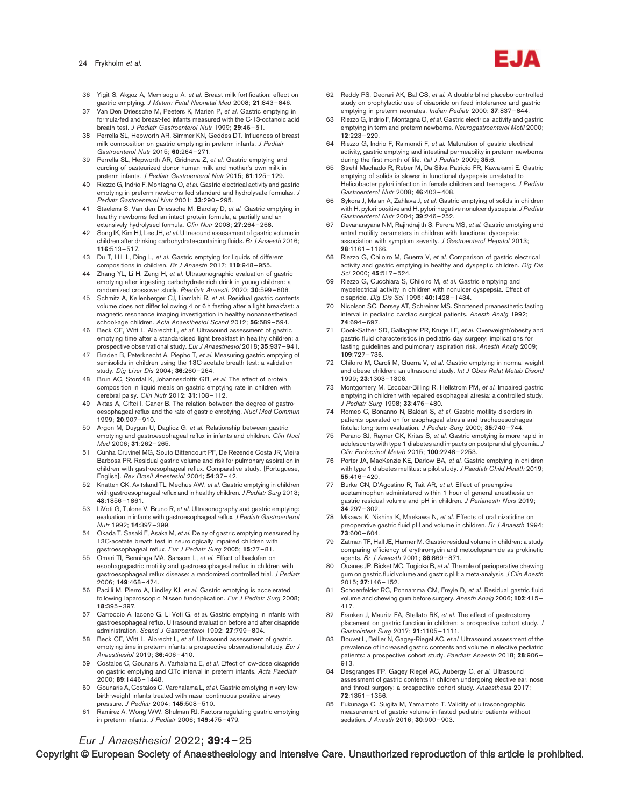- 36 Yigit S, Akgoz A, Memisoglu A, et al. Breast milk fortification: effect on gastric emptying. J Matern Fetal Neonatal Med 2008; 21:843–846.
- 37 Van Den Driessche M, Peeters K, Marien P, et al. Gastric emptying in formula-fed and breast-fed infants measured with the C-13-octanoic acid breath test. J Pediatr Gastroenterol Nutr 1999: 29:46-51.
- 38 Perrella SL, Hepworth AR, Simmer KN, Geddes DT. Influences of breast milk composition on gastric emptying in preterm infants. J Pediatr Gastroenterol Nutr 2015; 60:264–271.
- 39 Perrella SL, Hepworth AR, Gridneva Z, et al. Gastric emptying and curding of pasteurized donor human milk and mother's own milk in preterm infants. J Pediatr Gastroenterol Nutr 2015; 61:125-129.
- 40 Riezzo G, Indrio F, Montagna O, et al. Gastric electrical activity and gastric emptying in preterm newborns fed standard and hydrolysate formulas. J Pediatr Gastroenterol Nutr 2001; 33:290-295.
- 41 Staelens S, Van den Driessche M, Barclay D, et al. Gastric emptying in healthy newborns fed an intact protein formula, a partially and an extensively hydrolysed formula. Clin Nutr 2008; 27:264–268.
- 42 Song IK, Kim HJ, Lee JH, et al. Ultrasound assessment of gastric volume in children after drinking carbohydrate-containing fluids. Br J Anaesth 2016; 116:513–517.
- 43 Du T, Hill L, Ding L, et al. Gastric emptying for liquids of different compositions in children. Br J Anaesth 2017; 119:948–955.
- 44 Zhang YL, Li H, Zeng H, et al. Ultrasonographic evaluation of gastric emptying after ingesting carbohydrate-rich drink in young children: a randomized crossover study. Paediatr Anaesth 2020; 30:599–606.
- 45 Schmitz A, Kellenberger CJ, Liamlahi R, et al. Residual gastric contents volume does not differ following 4 or 6 h fasting after a light breakfast: a magnetic resonance imaging investigation in healthy nonanaesthetised school-age children. Acta Anaesthesiol Scand 2012; 56:589–594.
- 46 Beck CE, Witt L, Albrecht L, et al. Ultrasound assessment of gastric emptying time after a standardised light breakfast in healthy children: a prospective observational study. Eur J Anaesthesiol 2018; 35:937-941.
- 47 Braden B, Peterknecht A, Piepho T, et al. Measuring gastric emptying of semisolids in children using the 13C-acetate breath test: a validation study. Dig Liver Dis 2004; 36:260-264.
- 48 Brun AC, Stordal K, Johannesdottir GB, et al. The effect of protein composition in liquid meals on gastric emptying rate in children with cerebral palsy. Clin Nutr 2012; 31:108-112.
- 49 Aktas A, Ciftci I, Caner B. The relation between the degree of gastrooesophageal reflux and the rate of gastric emptying. Nucl Med Commun 1999; 20:907–910.
- 50 Argon M, Duygun U, Daglioz G, et al. Relationship between gastric emptying and gastroesophageal reflux in infants and children. Clin Nucl Med 2006; 31:262–265.
- 51 Cunha Cruvinel MG, Souto Bittencourt PF, De Rezende Costa JR, Vieira Barbosa PR. Residual gastric volume and risk for pulmonary aspiration in children with gastroesophageal reflux. Comparative study. [Portuguese, English]. Rev Brasil Anestesiol 2004; 54:37–42.
- 52 Knatten CK, Avitsland TL, Medhus AW, et al. Gastric emptying in children with gastroesophageal reflux and in healthy children. J Pediatr Surg 2013; 48:1856–1861.
- 53 LiVoti G, Tulone V, Bruno R, et al. Ultrasonography and gastric emptying: evaluation in infants with gastroesophageal reflux. J Pediatr Gastroenterol Nutr 1992; 14:397–399.
- 54 Okada T, Sasaki F, Asaka M, et al. Delay of gastric emptying measured by 13C-acetate breath test in neurologically impaired children with gastroesophageal reflux. Eur J Pediatr Surg 2005; 15:77–81.
- 55 Omari TI, Benninga MA, Sansom L, et al. Effect of baclofen on esophagogastric motility and gastroesophageal reflux in children with gastroesophageal reflux disease: a randomized controlled trial. J Pediatr 2006; 149:468–474.
- 56 Pacilli M, Pierro A, Lindley KJ, et al. Gastric emptying is accelerated following laparoscopic Nissen fundoplication. Eur J Pediatr Surg 2008; 18:395–397.
- 57 Carroccio A, Iacono G, Li Voti G, et al. Gastric emptying in infants with gastroesophageal reflux. Ultrasound evaluation before and after cisapride administration. Scand J Gastroenterol 1992: 27:799-804.
- 58 Beck CE, Witt L, Albrecht L, et al. Ultrasound assessment of gastric emptying time in preterm infants: a prospective observational study. Eur J Anaesthesiol 2019; 36:406-410.
- 59 Costalos C, Gounaris A, Varhalama E, et al. Effect of low-dose cisapride on gastric emptying and QTc interval in preterm infants. Acta Paediatr 2000; 89:1446–1448.
- 60 Gounaris A, Costalos C, Varchalama L, et al. Gastric emptying in very-lowbirth-weight infants treated with nasal continuous positive airway pressure. J Pediatr 2004: **145**:508-510.
- 61 Ramirez A, Wong WW, Shulman RJ. Factors regulating gastric emptying in preterm infants. J Pediatr 2006; 149:475-479.
- 62 Reddy PS, Deorari AK, Bal CS, et al. A double-blind placebo-controlled study on prophylactic use of cisapride on feed intolerance and gastric emptying in preterm neonates. Indian Pediatr 2000; 37:837-844.
- Riezzo G, Indrio F, Montagna O, et al. Gastric electrical activity and gastric emptying in term and preterm newborns. Neurogastroenterol Motil 2000; 12:223–229.
- 64 Riezzo G, Indrio F, Raimondi F, et al. Maturation of gastric electrical activity, gastric emptying and intestinal permeability in preterm newborns during the first month of life. Ital J Pediatr 2009; 35:6.
- 65 Strehl Machado R, Reber M, Da Silva Patricio FR, Kawakami E. Gastric emptying of solids is slower in functional dyspepsia unrelated to Helicobacter pylori infection in female children and teenagers. *J Pediatr* Gastroenterol Nutr 2008; 46:403–408.
- 66 Sykora J, Malan A, Zahlava J, et al. Gastric emptying of solids in children with H. pylori-positive and H. pylori-negative nonulcer dyspepsia. J Pediatr Gastroenterol Nutr 2004; 39:246–252.
- Devanarayana NM, Rajindrajith S, Perera MS, et al. Gastric emptying and antral motility parameters in children with functional dyspepsia: association with symptom severity. J Gastroenterol Hepatol 2013; 28:1161–1166.
- 68 Riezzo G, Chiloiro M, Guerra V, et al. Comparison of gastric electrical activity and gastric emptying in healthy and dyspeptic children. Dig Dis Sci 2000; 45:517–524.
- 69 Riezzo G, Cucchiara S, Chiloiro M, et al. Gastric emptying and myoelectrical activity in children with nonulcer dyspepsia. Effect of cisapride. Dig Dis Sci 1995; 40:1428–1434.
- 70 Nicolson SC, Dorsey AT, Schreiner MS. Shortened preanesthetic fasting interval in pediatric cardiac surgical patients. Anesth Analg 1992; 74:694–697.
- 71 Cook-Sather SD, Gallagher PR, Kruge LE, et al. Overweight/obesity and gastric fluid characteristics in pediatric day surgery: implications for fasting guidelines and pulmonary aspiration risk. Anesth Analg 2009; 109:727–736.
- Chiloiro M, Caroli M, Guerra V, et al. Gastric emptying in normal weight and obese children: an ultrasound study. Int J Obes Relat Metab Disord 1999; 23:1303–1306.
- 73 Montgomery M, Escobar-Billing R, Hellstrom PM, et al. Impaired gastric emptying in children with repaired esophageal atresia: a controlled study. J Pediatr Surg 1998; 33:476-480.
- 74 Romeo C, Bonanno N, Baldari S, et al. Gastric motility disorders in patients operated on for esophageal atresia and tracheoesophageal fistula: long-term evaluation. J Pediatr Surg 2000; 35:740-744.
- Perano SJ, Rayner CK, Kritas S, et al. Gastric emptying is more rapid in adolescents with type 1 diabetes and impacts on postprandial glycemia. J Clin Endocrinol Metab 2015; 100:2248–2253.
- 76 Porter JA, MacKenzie KE, Darlow BA, et al. Gastric emptying in children with type 1 diabetes mellitus: a pilot study. J Paediatr Child Health 2019; 55:416–420.
- Burke CN, D'Agostino R, Tait AR, et al. Effect of preemptive acetaminophen administered within 1 hour of general anesthesia on gastric residual volume and pH in children. J Perianesth Nurs 2019; 34:297–302.
- 78 Mikawa K, Nishina K, Maekawa N, et al. Effects of oral nizatidine on preoperative gastric fluid pH and volume in children. Br J Anaesth 1994; 73:600–604.
- Zatman TF, Hall JE, Harmer M. Gastric residual volume in children: a study comparing efficiency of erythromycin and metoclopramide as prokinetic agents. Br J Anaesth 2001; 86:869–871.
- 80 Ouanes JP, Bicket MC, Togioka B, et al. The role of perioperative chewing gum on gastric fluid volume and gastric pH: a meta-analysis. J Clin Anesth 2015; 27:146–152.
- 81 Schoenfelder RC, Ponnamma CM, Freyle D, et al. Residual gastric fluid volume and chewing gum before surgery. Anesth Analg 2006; 102:415– 417.
- 82 Franken J, Mauritz FA, Stellato RK, et al. The effect of gastrostomy placement on gastric function in children: a prospective cohort study. J Gastrointest Surg 2017; 21:1105-1111.
- 83 Bouvet L, Bellier N, Gagey-Riegel AC, et al. Ultrasound assessment of the prevalence of increased gastric contents and volume in elective pediatric patients: a prospective cohort study. Paediatr Anaesth 2018; 28:906-913.
- 84 Desgranges FP, Gagey Riegel AC, Aubergy C, et al. Ultrasound assessment of gastric contents in children undergoing elective ear, nose and throat surgery: a prospective cohort study. Anaesthesia 2017; 72:1351–1356.
- 85 Fukunaga C, Sugita M, Yamamoto T. Validity of ultrasonographic measurement of gastric volume in fasted pediatric patients without sedation. *J Anesth* 2016; 30:900-903.

# Eur J Anaesthesiol 2022; 39:4–25